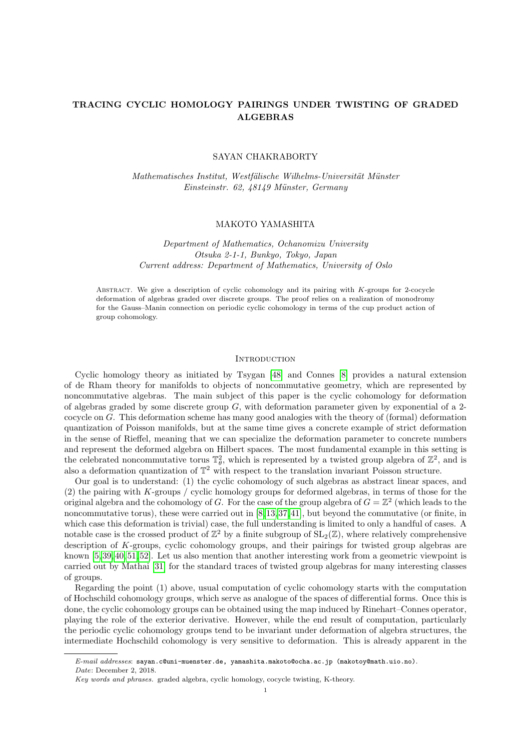# TRACING CYCLIC HOMOLOGY PAIRINGS UNDER TWISTING OF GRADED ALGEBRAS

### SAYAN CHAKRABORTY

Mathematisches Institut, Westfälische Wilhelms-Universität Münster Einsteinstr. 62, 48149 Münster, Germany

## MAKOTO YAMASHITA

Department of Mathematics, Ochanomizu University Otsuka 2-1-1, Bunkyo, Tokyo, Japan Current address: Department of Mathematics, University of Oslo

Abstract. We give a description of cyclic cohomology and its pairing with K-groups for 2-cocycle deformation of algebras graded over discrete groups. The proof relies on a realization of monodromy for the Gauss–Manin connection on periodic cyclic cohomology in terms of the cup product action of group cohomology.

#### **INTRODUCTION**

Cyclic homology theory as initiated by Tsygan [\[48\]](#page-24-0) and Connes [\[8\]](#page-22-0) provides a natural extension of de Rham theory for manifolds to objects of noncommutative geometry, which are represented by noncommutative algebras. The main subject of this paper is the cyclic cohomology for deformation of algebras graded by some discrete group  $G$ , with deformation parameter given by exponential of a 2cocycle on G. This deformation scheme has many good analogies with the theory of (formal) deformation quantization of Poisson manifolds, but at the same time gives a concrete example of strict deformation in the sense of Rieffel, meaning that we can specialize the deformation parameter to concrete numbers and represent the deformed algebra on Hilbert spaces. The most fundamental example in this setting is the celebrated noncommutative torus  $\mathbb{T}_{\theta}^2$ , which is represented by a twisted group algebra of  $\mathbb{Z}^2$ , and is also a deformation quantization of  $\mathbb{T}^2$  with respect to the translation invariant Poisson structure.

Our goal is to understand: (1) the cyclic cohomology of such algebras as abstract linear spaces, and (2) the pairing with K-groups / cyclic homology groups for deformed algebras, in terms of those for the original algebra and the cohomology of G. For the case of the group algebra of  $G = \mathbb{Z}^2$  (which leads to the noncommutative torus), these were carried out in [\[8,](#page-22-0) [13,](#page-23-0) [37,](#page-23-1) [41\]](#page-24-1), but beyond the commutative (or finite, in which case this deformation is trivial) case, the full understanding is limited to only a handful of cases. A notable case is the crossed product of  $\mathbb{Z}^2$  by a finite subgroup of  $SL_2(\mathbb{Z})$ , where relatively comprehensive description of K-groups, cyclic cohomology groups, and their pairings for twisted group algebras are known [\[5,](#page-22-1) [39,](#page-23-2) [40,](#page-23-3) [51,](#page-24-2) [52\]](#page-24-3). Let us also mention that another interesting work from a geometric viewpoint is carried out by Mathai [\[31\]](#page-23-4) for the standard traces of twisted group algebras for many interesting classes of groups.

Regarding the point (1) above, usual computation of cyclic cohomology starts with the computation of Hochschild cohomology groups, which serve as analogue of the spaces of differential forms. Once this is done, the cyclic cohomology groups can be obtained using the map induced by Rinehart–Connes operator, playing the role of the exterior derivative. However, while the end result of computation, particularly the periodic cyclic cohomology groups tend to be invariant under deformation of algebra structures, the intermediate Hochschild cohomology is very sensitive to deformation. This is already apparent in the

E-mail addresses: sayan.c@uni-muenster.de, yamashita.makoto@ocha.ac.jp (makotoy@math.uio.no). Date: December 2, 2018.

Key words and phrases. graded algebra, cyclic homology, cocycle twisting, K-theory.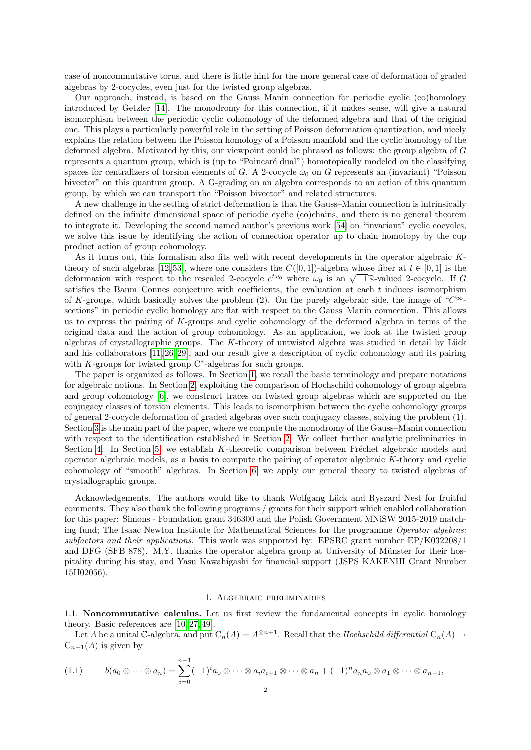case of noncommutative torus, and there is little hint for the more general case of deformation of graded algebras by 2-cocycles, even just for the twisted group algebras.

Our approach, instead, is based on the Gauss–Manin connection for periodic cyclic (co)homology introduced by Getzler [\[14\]](#page-23-5). The monodromy for this connection, if it makes sense, will give a natural isomorphism between the periodic cyclic cohomology of the deformed algebra and that of the original one. This plays a particularly powerful role in the setting of Poisson deformation quantization, and nicely explains the relation between the Poisson homology of a Poisson manifold and the cyclic homology of the deformed algebra. Motivated by this, our viewpoint could be phrased as follows: the group algebra of G represents a quantum group, which is (up to "Poincaré dual") homotopically modeled on the classifying spaces for centralizers of torsion elements of G. A 2-cocycle  $\omega_0$  on G represents an (invariant) "Poisson bivector" on this quantum group. A G-grading on an algebra corresponds to an action of this quantum group, by which we can transport the "Poisson bivector" and related structures.

A new challenge in the setting of strict deformation is that the Gauss–Manin connection is intrinsically defined on the infinite dimensional space of periodic cyclic (co)chains, and there is no general theorem to integrate it. Developing the second named author's previous work [\[54\]](#page-24-4) on "invariant" cyclic cocycles, we solve this issue by identifying the action of connection operator up to chain homotopy by the cup product action of group cohomology.

As it turns out, this formalism also fits well with recent developments in the operator algebraic K-theory of such algebras [\[12,](#page-23-6) [53\]](#page-24-5), where one considers the  $C([0, 1])$ -algebra whose fiber at  $t \in [0, 1]$  is the theory of such algebras [12, 35], where one considers the  $C([0,1])$ -algebra whose liber at  $t \in [0,1]$  is the deformation with respect to the rescaled 2-cocycle  $e^{t\omega_0}$  where  $\omega_0$  is an  $\sqrt{-1}R$ -valued 2-cocycle. If G satisfies the Baum–Connes conjecture with coefficients, the evaluation at each  $t$  induces isomorphism of K-groups, which basically solves the problem (2). On the purely algebraic side, the image of " $C^{\infty}$ sections" in periodic cyclic homology are flat with respect to the Gauss–Manin connection. This allows us to express the pairing of K-groups and cyclic cohomology of the deformed algebra in terms of the original data and the action of group cohomology. As an application, we look at the twisted group algebras of crystallographic groups. The  $K$ -theory of untwisted algebra was studied in detail by Lück and his collaborators [\[11,](#page-23-7) [26,](#page-23-8) [29\]](#page-23-9), and our result give a description of cyclic cohomology and its pairing with  $K$ -groups for twisted group  $C^*$ -algebras for such groups.

The paper is organized as follows. In Section [1,](#page-1-0) we recall the basic terminology and prepare notations for algebraic notions. In Section [2,](#page-8-0) exploiting the comparison of Hochschild cohomology of group algebra and group cohomology [\[6\]](#page-22-2), we construct traces on twisted group algebras which are supported on the conjugacy classes of torsion elements. This leads to isomorphism between the cyclic cohomology groups of general 2-cocycle deformation of graded algebras over such conjugacy classes, solving the problem (1). Section [3](#page-10-0) is the main part of the paper, where we compute the monodromy of the Gauss–Manin connection with respect to the identification established in Section [2.](#page-8-0) We collect further analytic preliminaries in Section [4.](#page-13-0) In Section [5,](#page-14-0) we establish K-theoretic comparison between Fréchet algebraic models and operator algebraic models, as a basis to compute the pairing of operator algebraic K-theory and cyclic cohomology of "smooth" algebras. In Section [6,](#page-20-0) we apply our general theory to twisted algebras of crystallographic groups.

Acknowledgements. The authors would like to thank Wolfgang Lück and Ryszard Nest for fruitful comments. They also thank the following programs / grants for their support which enabled collaboration for this paper: Simons - Foundation grant 346300 and the Polish Government MNiSW 2015-2019 matching fund; The Isaac Newton Institute for Mathematical Sciences for the programme Operator algebras: subfactors and their applications. This work was supported by: EPSRC grant number EP/K032208/1 and DFG (SFB 878). M.Y. thanks the operator algebra group at University of Münster for their hospitality during his stay, and Yasu Kawahigashi for financial support (JSPS KAKENHI Grant Number 15H02056).

### 1. Algebraic preliminaries

<span id="page-1-2"></span><span id="page-1-0"></span>1.1. Noncommutative calculus. Let us first review the fundamental concepts in cyclic homology theory. Basic references are [\[10,](#page-23-10) [27,](#page-23-11) [49\]](#page-24-6).

Let A be a unital C-algebra, and put  $C_n(A) = A^{\otimes n+1}$ . Recall that the Hochschild differential  $C_n(A) \to$  $C_{n-1}(A)$  is given by

<span id="page-1-1"></span>
$$
(1.1) \t b(a_0\otimes\cdots\otimes a_n)=\sum_{i=0}^{n-1}(-1)^ia_0\otimes\cdots\otimes a_ia_{i+1}\otimes\cdots\otimes a_n+(-1)^na_na_0\otimes a_1\otimes\cdots\otimes a_{n-1},
$$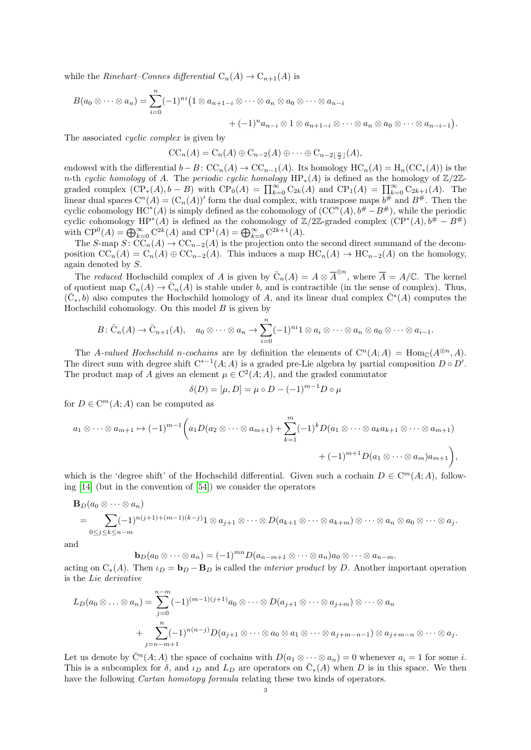while the Rinehart–Connes differential  $C_n(A) \to C_{n+1}(A)$  is

$$
B(a_0 \otimes \cdots \otimes a_n) = \sum_{i=0}^n (-1)^{ni} \left(1 \otimes a_{n+1-i} \otimes \cdots \otimes a_n \otimes a_0 \otimes \cdots \otimes a_{n-i}\right.+ (-1)^n a_{n-i} \otimes 1 \otimes a_{n+1-i} \otimes \cdots \otimes a_n \otimes a_0 \otimes \cdots \otimes a_{n-i-1}\right).
$$

The associated *cyclic complex* is given by

$$
CC_n(A) = C_n(A) \oplus C_{n-2}(A) \oplus \cdots \oplus C_{n-2\lfloor \frac{n}{2} \rfloor}(A),
$$

endowed with the differential  $b - B$ :  $\mathrm{CC}_n(A) \to \mathrm{CC}_{n-1}(A)$ . Its homology  $\mathrm{HC}_n(A) = \mathrm{H}_n(\mathrm{CC}_*(A))$  is the n-th cyclic homology of A. The periodic cyclic homology  $HP_*(A)$  is defined as the homology of Z/2Zgraded complex  $(\overline{CP}_*(A), b - B)$  with  $\overline{CP}_0(A) = \prod_{k=0}^{\infty} C_{2k}(A)$  and  $\overline{CP}_1(A) = \prod_{k=0}^{\infty} C_{2k+1}(A)$ . The linear dual spaces  $C^n(A) = (C_n(A))'$  form the dual complex, with transpose maps  $b^{\#}$  and  $B^{\#}$ . Then the cyclic cohomology  $HC^*(A)$  is simply defined as the cohomology of  $(CC^n(A), b^{\#} - B^{\#})$ , while the periodic cyclic cohomology  $HP^*(A)$  is defined as the cohomology of  $\mathbb{Z}/2\mathbb{Z}$ -graded complex  $(\text{CP}^*(A), b^{\#} - B^{\#})$ with  $\mathbf{CP}^0(A) = \bigoplus_{k=0}^{\infty} \mathbf{C}^{2k}(A)$  and  $\mathbf{CP}^1(A) = \bigoplus_{k=0}^{\infty} \mathbf{C}^{2k+1}(A)$ .

The S-map  $S: \widetilde{CC}_n(A) \to \widetilde{CC}_{n-2}(A)$  is the projection onto the second direct summand of the decomposition  $\mathrm{CC}_n(A) = \mathrm{C}_n(A) \oplus \mathrm{CC}_{n-2}(A)$ . This induces a map  $\mathrm{HC}_n(A) \to \mathrm{HC}_{n-2}(A)$  on the homology, again denoted by S.

The reduced Hochschild complex of A is given by  $\overline{C}_n(A) = A \otimes \overline{A}^{\otimes n}$ , where  $\overline{A} = A/\mathbb{C}$ . The kernel of quotient map  $C_n(A) \to \overline{C}_n(A)$  is stable under b, and is contractible (in the sense of complex). Thus,  $(\bar{C}_*, b)$  also computes the Hochschild homology of A, and its linear dual complex  $\bar{C}^*(A)$  computes the Hochschild cohomology. On this model  $B$  is given by

$$
B\colon \bar{C}_n(A)\to \bar{C}_{n+1}(A), \quad a_0\otimes\cdots\otimes a_n\to \sum_{i=0}^n (-1)^{ni}1\otimes a_i\otimes\cdots\otimes a_n\otimes a_0\otimes\cdots\otimes a_{i-1}.
$$

The A-valued Hochschild n-cochains are by definition the elements of  $C^n(A; A) = \text{Hom}_{\mathbb{C}}(A^{\otimes n}, A)$ . The direct sum with degree shift  $C^{*-1}(A; A)$  is a graded pre-Lie algebra by partial composition  $D \circ D'$ . The product map of A gives an element  $\mu \in C^2(A;A)$ , and the graded commutator

$$
\delta(D) = [\mu, D] = \mu \circ D - (-1)^{m-1} D \circ \mu
$$

for  $D \in \mathbb{C}^m(A; A)$  can be computed as

$$
a_1 \otimes \cdots \otimes a_{m+1} \mapsto (-1)^{m-1} \bigg( a_1 D(a_2 \otimes \cdots \otimes a_{m+1}) + \sum_{k=1}^m (-1)^k D(a_1 \otimes \cdots \otimes a_k a_{k+1} \otimes \cdots \otimes a_{m+1}) + (-1)^{m+1} D(a_1 \otimes \cdots \otimes a_m) a_{m+1} \bigg),
$$

which is the 'degree shift' of the Hochschild differential. Given such a cochain  $D \in \mathbb{C}^m(A;A)$ , following [\[14\]](#page-23-5) (but in the convention of [\[54\]](#page-24-4)) we consider the operators

$$
\mathbf{B}_D(a_0 \otimes \cdots \otimes a_n)
$$
  
=  $\sum_{0 \le j \le k \le n-m} (-1)^{n(j+1)+(m-1)(k-j)} 1 \otimes a_{j+1} \otimes \cdots \otimes D(a_{k+1} \otimes \cdots \otimes a_{k+m}) \otimes \cdots \otimes a_n \otimes a_0 \otimes \cdots \otimes a_j.$ 

and

 $\mathbf{b}_D(a_0\otimes\cdots\otimes a_n)=(-1)^{mn}D(a_{n-m+1}\otimes\cdots\otimes a_n)a_0\otimes\cdots\otimes a_{n-m}.$ 

acting on  $C_*(A)$ . Then  $\iota_D = \mathbf{b}_D - \mathbf{B}_D$  is called the *interior product* by D. Another important operation is the Lie derivative

$$
L_D(a_0 \otimes \ldots \otimes a_n) = \sum_{j=0}^{n-m} (-1)^{(m-1)(j+1)} a_0 \otimes \cdots \otimes D(a_{j+1} \otimes \cdots \otimes a_{j+m}) \otimes \cdots \otimes a_n
$$
  
+ 
$$
\sum_{j=n-m+1}^{n} (-1)^{n(n-j)} D(a_{j+1} \otimes \cdots \otimes a_0 \otimes a_1 \otimes \cdots \otimes a_{j+m-n-1}) \otimes a_{j+m-n} \otimes \cdots \otimes a_j.
$$

Let us denote by  $\bar{C}^n(A;A)$  the space of cochains with  $D(a_1 \otimes \cdots \otimes a_n) = 0$  whenever  $a_i = 1$  for some i. This is a subcomplex for  $\delta$ , and  $\iota_D$  and  $L_D$  are operators on  $\bar{C}_*(A)$  when D is in this space. We then have the following Cartan homotopy formula relating these two kinds of operators.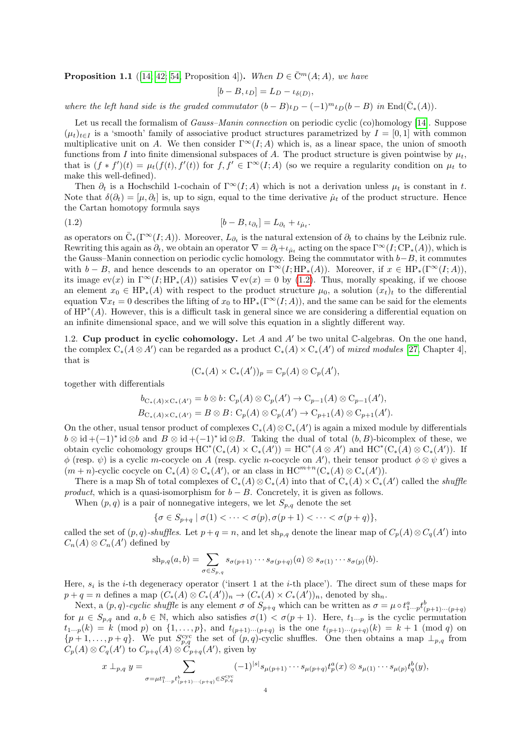**Proposition 1.1** ([\[14;](#page-23-5) [42;](#page-24-7) [54,](#page-24-4) Proposition 4]). When  $D \in \overline{C}^m(A;A)$ , we have

<span id="page-3-0"></span>
$$
[b - B, \iota_D] = L_D - \iota_{\delta(D)}
$$

,

where the left hand side is the graded commutator  $(b - B)\iota_D - (-1)^m \iota_D(b - B)$  in End $(\bar{C}_*(A))$ .

Let us recall the formalism of *Gauss–Manin connection* on periodic cyclic (co)homology [\[14\]](#page-23-5). Suppose  $(\mu_t)_{t\in I}$  is a 'smooth' family of associative product structures parametrized by  $I = [0, 1]$  with common multiplicative unit on A. We then consider  $\Gamma^{\infty}(I; A)$  which is, as a linear space, the union of smooth functions from I into finite dimensional subspaces of A. The product structure is given pointwise by  $\mu_t$ , that is  $(f * f')(t) = \mu_t(f(t), f'(t))$  for  $f, f' \in \Gamma^\infty(I; A)$  (so we require a regularity condition on  $\mu_t$  to make this well-defined).

Then  $\partial_t$  is a Hochschild 1-cochain of  $\Gamma^\infty(I; A)$  which is not a derivation unless  $\mu_t$  is constant in t. Note that  $\delta(\partial_t) = [\mu, \partial_t]$  is, up to sign, equal to the time derivative  $\mu_t$  of the product structure. Hence the Cartan homotopy formula says

$$
[b - B, \iota_{\partial_t}] = L_{\partial_t} + \iota_{\mu_t}.
$$

as operators on  $\overline{C}_*(\Gamma^\infty(I;A))$ . Moreover,  $L_{\partial_t}$  is the natural extension of  $\partial_t$  to chains by the Leibniz rule. Rewriting this again as  $\partial_t$ , we obtain an operator  $\nabla = \partial_t + \iota_{\mu_t}$  acting on the space  $\Gamma^\infty(I; \text{CP}_*(A))$ , which is the Gauss–Manin connection on periodic cyclic homology. Being the commutator with  $b-B$ , it commutes with  $b - B$ , and hence descends to an operator on  $\Gamma^{\infty}(I; HP_*(A))$ . Moreover, if  $x \in HP_*(\Gamma^{\infty}(I;A))$ , its image  $ev(x)$  in  $\Gamma^\infty(I; HP_*(A))$  satisies  $\nabla ev(x) = 0$  by [\(1.2\)](#page-3-0). Thus, morally speaking, if we choose an element  $x_0 \in HP_*(A)$  with respect to the product structure  $\mu_0$ , a solution  $(x_t)_t$  to the differential equation  $\nabla x_t = 0$  describes the lifting of  $x_0$  to  $HP_*(\Gamma^\infty(I; A))$ , and the same can be said for the elements of HP<sup>∗</sup> (A). However, this is a difficult task in general since we are considering a differential equation on an infinite dimensional space, and we will solve this equation in a slightly different way.

1.2. Cup product in cyclic cohomology. Let A and A' be two unital C-algebras. On the one hand, the complex  $C_*(A \otimes A')$  can be regarded as a product  $C_*(A) \times C_*(A')$  of mixed modules [\[27,](#page-23-11) Chapter 4], that is

$$
(\mathrm{C}_*(A) \times \mathrm{C}_*(A'))_p = \mathrm{C}_p(A) \otimes \mathrm{C}_p(A'),
$$

together with differentials

$$
b_{C_*(A)\times C_*(A')} = b \otimes b \colon C_p(A) \otimes C_p(A') \to C_{p-1}(A) \otimes C_{p-1}(A'),
$$
  

$$
B_{C_*(A)\times C_*(A')} = B \otimes B \colon C_p(A) \otimes C_p(A') \to C_{p+1}(A) \otimes C_{p+1}(A').
$$

On the other, usual tensor product of complexes  $C_*(A) \otimes C_*(A')$  is again a mixed module by differentials  $b \otimes id + (-1)^* id \otimes b$  and  $B \otimes id + (-1)^* id \otimes B$ . Taking the dual of total  $(b, B)$ -bicomplex of these, we obtain cyclic cohomology groups  $HC^*(C_*(A) \times C_*(A')) = HC^*(A \otimes A')$  and  $HC^*(C_*(A) \otimes C_*(A'))$ . If  $\phi$  (resp.  $\psi$ ) is a cyclic m-cocycle on A (resp. cyclic n-cocycle on A'), their tensor product  $\phi \otimes \psi$  gives a  $(m+n)$ -cyclic cocycle on  $C_*(A) \otimes C_*(A')$ , or an class in  $HC^{m+n}(C_*(A) \otimes C_*(A'))$ .

There is a map Sh of total complexes of  $C_*(A) \otimes C_*(A)$  into that of  $C_*(A) \times C_*(A')$  called the *shuffle* product, which is a quasi-isomorphism for  $b - B$ . Concretely, it is given as follows.

When  $(p, q)$  is a pair of nonnegative integers, we let  $S_{p,q}$  denote the set

$$
\{\sigma \in S_{p+q} \mid \sigma(1) < \cdots < \sigma(p), \sigma(p+1) < \cdots < \sigma(p+q)\},\
$$

called the set of  $(p, q)$ -shuffles. Let  $p + q = n$ , and let sh<sub>p,q</sub> denote the linear map of  $C_p(A) \otimes C_q(A')$  into  $C_n(A) \otimes C_n(A')$  defined by

$$
\mathrm{sh}_{p,q}(a,b)=\sum_{\sigma\in S_{p,q}}s_{\sigma(p+1)}\cdots s_{\sigma(p+q)}(a)\otimes s_{\sigma(1)}\cdots s_{\sigma(p)}(b).
$$

Here,  $s_i$  is the *i*-th degeneracy operator ('insert 1 at the *i*-th place'). The direct sum of these maps for  $p + q = n$  defines a map  $(C_*(A) \otimes C_*(A'))_n \to (C_*(A) \times C_*(A'))_n$ , denoted by sh<sub>n</sub>.

Next, a  $(p, q)$ -cyclic shuffle is any element  $\sigma$  of  $S_{p+q}$  which can be written as  $\sigma = \mu \circ t_{1\cdots p}^a t_{(p+1)\cdots(p+q)}^b$ for  $\mu \in S_{p,q}$  and  $a, b \in \mathbb{N}$ , which also satisfies  $\sigma(1) < \sigma(p+1)$ . Here,  $t_{1\cdots p}$  is the cyclic permutation  $t_{1\cdots p}(k) = k \pmod{p}$  on  $\{1,\ldots,p\}$ , and  $t_{(p+1)\cdots(p+q)}$  is the one  $t_{(p+1)\cdots(p+q)}(k) = k+1 \pmod{q}$  on  $\{p+1,\ldots,p+q\}$ . We put  $S_{p,q}^{\text{cyc}}$  the set of  $(p,q)$ -cyclic shuffles. One then obtains a map  $\perp_{p,q}$  from  $C_p(A) \otimes C_q(A')$  to  $C_{p+q}(A) \otimes C_{p+q}(A')$ , given by

$$
x \perp_{p,q} y = \sum_{\sigma=\mu t_1^a \dots p t_{(p+1)\dots(p+q)}^b \in S_{p,q}^{\text{cyc}}} (-1)^{|s|} s_{\mu(p+1)} \dots s_{\mu(p+q)} t_p^a(x) \otimes s_{\mu(1)} \dots s_{\mu(p)} t_q^b(y),
$$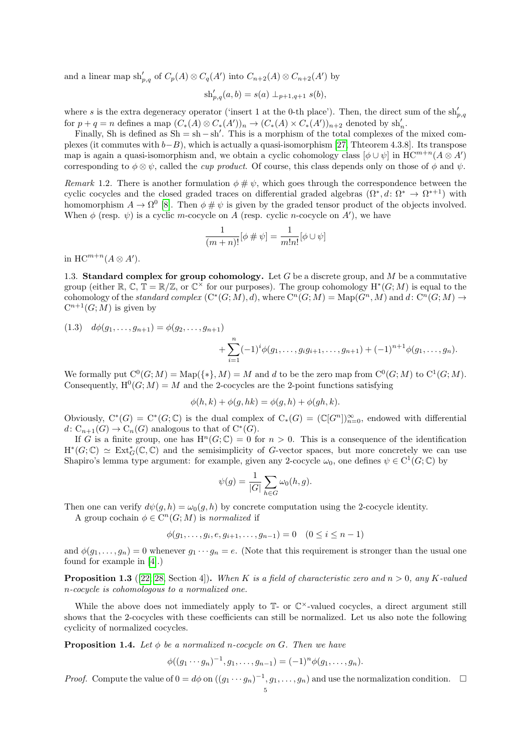and a linear map  $\mathrm{sh}'_{p,q}$  of  $C_p(A) \otimes C_q(A')$  into  $C_{n+2}(A) \otimes C_{n+2}(A')$  by

$$
\mathrm{sh}'_{p,q}(a,b) = s(a) \perp_{p+1,q+1} s(b),
$$

where s is the extra degeneracy operator ('insert 1 at the 0-th place'). Then, the direct sum of the  $\sh'_{p,q}$ for  $p + q = n$  defines a map  $(C_*(A) \otimes C_*(A'))_n \to (C_*(A) \times C_*(A'))_{n+2}$  denoted by sh'<sub>n</sub>.

Finally, Sh is defined as  $Sh = sh - sh'$ . This is a morphism of the total complexes of the mixed complexes (it commutes with  $b-B$ ), which is actually a quasi-isomorphism [\[27,](#page-23-11) Thteorem 4.3.8]. Its transpose map is again a quasi-isomorphism and, we obtain a cyclic cohomology class  $[\phi \cup \psi]$  in  $HC^{m+n}(A \otimes A')$ corresponding to  $\phi \otimes \psi$ , called the *cup product*. Of course, this class depends only on those of  $\phi$  and  $\psi$ .

<span id="page-4-2"></span>Remark 1.2. There is another formulation  $\phi \# \psi$ , which goes through the correspondence between the cyclic cocycles and the closed graded traces on differential graded algebras  $(\Omega^*, d: \Omega^* \to \Omega^{*+1})$  with homomorphism  $A \to \Omega^0$  [\[8\]](#page-22-0). Then  $\phi \# \psi$  is given by the graded tensor product of the objects involved. When  $\phi$  (resp.  $\psi$ ) is a cyclic m-cocycle on A (resp. cyclic n-cocycle on A'), we have

$$
\frac{1}{(m+n)!}[\phi \# \psi] = \frac{1}{m!n!}[\phi \cup \psi]
$$

in  $\mathrm{HC}^{m+n}(A \otimes A')$ .

<span id="page-4-3"></span>1.3. Standard complex for group cohomology. Let G be a discrete group, and M be a commutative group (either  $\mathbb{R}, \mathbb{C}, \mathbb{T} = \mathbb{R}/\mathbb{Z}$ , or  $\mathbb{C}^{\times}$  for our purposes). The group cohomology  $H^*(G;M)$  is equal to the cohomology of the standard complex  $(C^*(G;M), d)$ , where  $C^n(G;M) = \text{Map}(G^n, M)$  and  $d: C^n(G;M) \to$  $C^{n+1}(G;M)$  is given by

<span id="page-4-0"></span>
$$
(1.3) \quad d\phi(g_1, \ldots, g_{n+1}) = \phi(g_2, \ldots, g_{n+1}) + \sum_{i=1}^n (-1)^i \phi(g_1, \ldots, g_i g_{i+1}, \ldots, g_{n+1}) + (-1)^{n+1} \phi(g_1, \ldots, g_n).
$$

We formally put  $C^0(G;M) = \text{Map}(\{*\},M) = M$  and d to be the zero map from  $C^0(G;M)$  to  $C^1(G;M)$ . Consequently,  $H^0(G;M) = M$  and the 2-cocycles are the 2-point functions satisfying

$$
\phi(h,k) + \phi(g,hk) = \phi(g,h) + \phi(gh,k).
$$

Obviously,  $C^*(G) = C^*(G; \mathbb{C})$  is the dual complex of  $C_*(G) = (\mathbb{C}[G^n])_{n=0}^{\infty}$ , endowed with differential  $d\colon C_{n+1}(G)\to C_n(G)$  analogous to that of  $C^*(G)$ .

If G is a finite group, one has  $H^n(G; \mathbb{C}) = 0$  for  $n > 0$ . This is a consequence of the identification  $H^*(G;\mathbb{C}) \simeq \text{Ext}^*_{G}(\mathbb{C},\mathbb{C})$  and the semisimplicity of G-vector spaces, but more concretely we can use Shapiro's lemma type argument: for example, given any 2-cocycle  $\omega_0$ , one defines  $\psi \in C^1(G; \mathbb{C})$  by

$$
\psi(g) = \frac{1}{|G|} \sum_{h \in G} \omega_0(h, g).
$$

Then one can verify  $d\psi(q, h) = \omega_0(q, h)$  by concrete computation using the 2-cocycle identity.

A group cochain  $\phi \in C^n(G;M)$  is normalized if

$$
\phi(g_1, \dots, g_i, e, g_{i+1}, \dots, g_{n-1}) = 0 \quad (0 \le i \le n-1)
$$

and  $\phi(g_1, \ldots, g_n) = 0$  whenever  $g_1 \cdots g_n = e$ . (Note that this requirement is stronger than the usual one found for example in [\[4\]](#page-22-3).)

<span id="page-4-4"></span>**Proposition 1.3** ([\[22;](#page-23-12) [28,](#page-23-13) Section 4]). When K is a field of characteristic zero and  $n > 0$ , any K-valued n-cocycle is cohomologous to a normalized one.

While the above does not immediately apply to  $\mathbb{T}$ - or  $\mathbb{C}^{\times}$ -valued cocycles, a direct argument still shows that the 2-cocycles with these coefficients can still be normalized. Let us also note the following cyclicity of normalized cocycles.

<span id="page-4-1"></span>**Proposition 1.4.** Let  $\phi$  be a normalized n-cocycle on G. Then we have

$$
\phi((g_1 \cdots g_n)^{-1}, g_1, \ldots, g_{n-1}) = (-1)^n \phi(g_1, \ldots, g_n).
$$

*Proof.* Compute the value of  $0 = d\phi$  on  $((g_1 \cdots g_n)^{-1}, g_1, \ldots, g_n)$  and use the normalization condition.  $\square$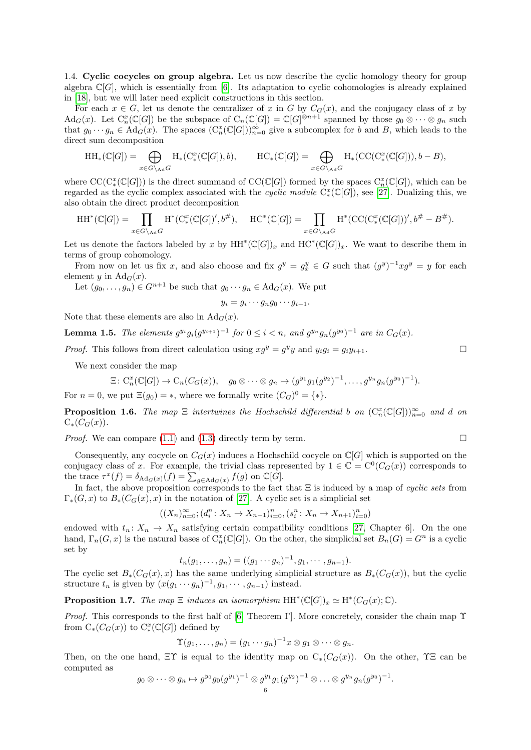<span id="page-5-0"></span>1.4. Cyclic cocycles on group algebra. Let us now describe the cyclic homology theory for group algebra  $\mathbb{C}[G]$ , which is essentially from [\[6\]](#page-22-2). Its adaptation to cyclic cohomologies is already explained in [\[18\]](#page-23-14), but we will later need explicit constructions in this section.

For each  $x \in G$ , let us denote the centralizer of x in G by  $C_G(x)$ , and the conjugacy class of x by  $\text{Ad}_G(x)$ . Let  $\text{C}_n^x(\mathbb{C}[G])$  be the subspace of  $\text{C}_n(\mathbb{C}[G]) = \mathbb{C}[G]^{\otimes n+1}$  spanned by those  $g_0 \otimes \cdots \otimes g_n$  such that  $g_0 \cdots g_n \in \mathrm{Ad}_G(x)$ . The spaces  $(\mathrm{C}_n^x(\mathbb{C}[G]))_{n=0}^{\infty}$  give a subcomplex for b and B, which leads to the direct sum decomposition

$$
\mathrm{HH}_*(\mathbb{C}[G]) = \bigoplus_{x \in G \setminus_{\mathrm{Ad}} G} \mathrm{H}_*(\mathrm{C}^x_*(\mathbb{C}[G]), b), \qquad \mathrm{HC}_*(\mathbb{C}[G]) = \bigoplus_{x \in G \setminus_{\mathrm{Ad}} G} \mathrm{H}_*(\mathrm{CC}(\mathrm{C}^x_*(\mathbb{C}[G])), b - B),
$$

where  $\mathrm{CC}(\mathrm{C}^x_*(\mathbb{C}[G]))$  is the direct summand of  $\mathrm{CC}(\mathbb{C}[G])$  formed by the spaces  $\mathrm{C}^x_n(\mathbb{C}[G])$ , which can be regarded as the cyclic complex associated with the cyclic module  $C^x_*(\mathbb{C}[G])$ , see [\[27\]](#page-23-11). Dualizing this, we also obtain the direct product decomposition

$$
\mathrm{HH}^*(\mathbb{C}[G]) = \prod_{x \in G \setminus_{\mathrm{Ad}} G} \mathrm{H}^*(\mathrm{C}^x_*(\mathbb{C}[G])', b^\#), \quad \mathrm{HC}^*(\mathbb{C}[G]) = \prod_{x \in G \setminus_{\mathrm{Ad}} G} \mathrm{H}^*(\mathrm{CC}(\mathrm{C}^x_*(\mathbb{C}[G]))', b^\# - B^\#).
$$

Let us denote the factors labeled by x by  $HH^*(\mathbb{C}[G])_x$  and  $HC^*(\mathbb{C}[G])_x$ . We want to describe them in terms of group cohomology.

From now on let us fix x, and also choose and fix  $g^y = g_x^y \in G$  such that  $(g^y)^{-1} x g^y = y$  for each element y in  $\text{Ad}_G(x)$ .

Let  $(g_0, \ldots, g_n) \in G^{n+1}$  be such that  $g_0 \cdots g_n \in \mathrm{Ad}_G(x)$ . We put

$$
y_i = g_i \cdots g_n g_0 \cdots g_{i-1}.
$$

Note that these elements are also in  $\text{Ad}_G(x)$ .

**Lemma 1.5.** The elements  $g^{y_i}g_i(g^{y_{i+1}})^{-1}$  for  $0 \le i < n$ , and  $g^{y_n}g_n(g^{y_0})^{-1}$  are in  $C_G(x)$ .

*Proof.* This follows from direct calculation using  $xg^y = g^y y$  and  $y_i g_i = g_i y_{i+1}$ .

We next consider the map

$$
\Xi\colon \mathrm{C}_n^x(\mathbb{C}[G])\to \mathrm{C}_n(C_G(x)),\quad g_0\otimes\cdots\otimes g_n\mapsto (g^{y_1}g_1(g^{y_2})^{-1},\ldots,g^{y_n}g_n(g^{y_0})^{-1}).
$$

For  $n = 0$ , we put  $\Xi(g_0) = *$ , where we formally write  $(C_G)^0 = \{*\}.$ 

<span id="page-5-2"></span>**Proposition 1.6.** The map  $\Xi$  intertwines the Hochschild differential b on  $(C_n^*(\mathbb{C}[G]))_{n=0}^{\infty}$  and d on  $C_*(C_G(x))$ .

*Proof.* We can compare [\(1.1\)](#page-1-1) and [\(1.3\)](#page-4-0) directly term by term.

Consequently, any cocycle on  $C_G(x)$  induces a Hochschild cocycle on  $\mathbb{C}[G]$  which is supported on the conjugacy class of x. For example, the trivial class represented by  $1 \in \mathbb{C} = C^0(C_G(x))$  corresponds to the trace  $\tau^x(f) = \delta_{\text{Ad}_G(x)}(f) = \sum_{g \in \text{Ad}_G(x)} f(g)$  on  $\mathbb{C}[G]$ .

In fact, the above proposition corresponds to the fact that  $\Xi$  is induced by a map of cyclic sets from  $\Gamma_*(G, x)$  to  $B_*(C_G(x), x)$  in the notation of [\[27\]](#page-23-11). A cyclic set is a simplicial set

$$
((X_n)_{n=0}^{\infty}; (d_i^n: X_n \to X_{n-1})_{i=0}^n, (s_i^n: X_n \to X_{n+1})_{i=0}^n)
$$

endowed with  $t_n: X_n \to X_n$  satisfying certain compatibility conditions [\[27,](#page-23-11) Chapter 6]. On the one hand,  $\Gamma_n(G, x)$  is the natural bases of  $C_n^x(\mathbb{C}[G])$ . On the other, the simplicial set  $B_n(G) = G^n$  is a cyclic set by

$$
t_n(g_1,\ldots,g_n) = ((g_1 \cdots g_n)^{-1},g_1,\cdots,g_{n-1}).
$$

The cyclic set  $B_*(C_G(x), x)$  has the same underlying simplicial structure as  $B_*(C_G(x))$ , but the cyclic structure  $t_n$  is given by  $(x(g_1 \cdots g_n)^{-1}, g_1, \cdots, g_{n-1})$  instead.

<span id="page-5-1"></span>**Proposition 1.7.** The map  $\Xi$  induces an isomorphism  $HH^*(\mathbb{C}[G])_x \simeq H^*(C_G(x);\mathbb{C})$ .

*Proof.* This corresponds to the first half of [\[6,](#page-22-2) Theorem I']. More concretely, consider the chain map  $\Upsilon$ from  $C_*(C_G(x))$  to  $C^x_*(\mathbb{C}[G])$  defined by

$$
\Upsilon(g_1,\ldots,g_n)=(g_1\cdots g_n)^{-1}x\otimes g_1\otimes\cdots\otimes g_n.
$$

Then, on the one hand,  $\Xi \Upsilon$  is equal to the identity map on  $C_*(C_G(x))$ . On the other,  $\Upsilon \Xi$  can be computed as

$$
g_0\otimes\cdots\otimes g_n\mapsto g^{y_0}g_0(g^{y_1})^{-1}\otimes g^{y_1}g_1(g^{y_2})^{-1}\otimes\ldots\otimes g^{y_n}g_n(g^{y_0})^{-1}.
$$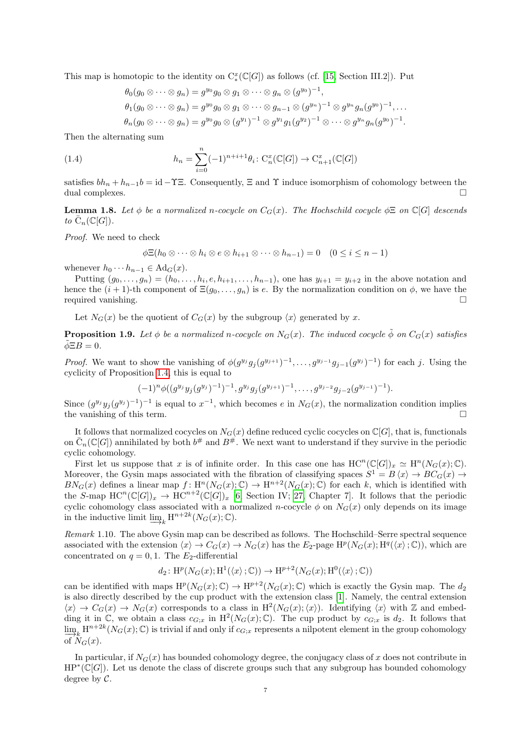This map is homotopic to the identity on  $C^x_*(\mathbb{C}[G])$  as follows (cf. [\[15,](#page-23-15) Section III.2]). Put

<span id="page-6-1"></span>
$$
\theta_0(g_0 \otimes \cdots \otimes g_n) = g^{y_0}g_0 \otimes g_1 \otimes \cdots \otimes g_n \otimes (g^{y_0})^{-1},
$$
  
\n
$$
\theta_1(g_0 \otimes \cdots \otimes g_n) = g^{y_0}g_0 \otimes g_1 \otimes \cdots \otimes g_{n-1} \otimes (g^{y_n})^{-1} \otimes g^{y_n}g_n(g^{y_0})^{-1},\dots
$$
  
\n
$$
\theta_n(g_0 \otimes \cdots \otimes g_n) = g^{y_0}g_0 \otimes (g^{y_1})^{-1} \otimes g^{y_1}g_1(g^{y_2})^{-1} \otimes \cdots \otimes g^{y_n}g_n(g^{y_0})^{-1}.
$$

Then the alternating sum

(1.4) 
$$
h_n = \sum_{i=0}^n (-1)^{n+i+1} \theta_i \colon \mathrm{C}_n^x(\mathbb{C}[G]) \to \mathrm{C}_{n+1}^x(\mathbb{C}[G])
$$

satisfies  $bh_n + h_{n-1}b = id - \Upsilon \Xi$ . Consequently,  $\Xi$  and  $\Upsilon$  induce isomorphism of cohomology between the dual complexes.

**Lemma 1.8.** Let  $\phi$  be a normalized n-cocycle on  $C_G(x)$ . The Hochschild cocycle  $\phi \Xi$  on  $\mathbb{C}[G]$  descends to  $\overline{\mathrm{C}}_n(\mathbb{C}[G]).$ 

Proof. We need to check

$$
\phi \Xi(h_0 \otimes \cdots \otimes h_i \otimes e \otimes h_{i+1} \otimes \cdots \otimes h_{n-1}) = 0 \quad (0 \leq i \leq n-1)
$$

whenever  $h_0 \cdots h_{n-1} \in \mathrm{Ad}_G(x)$ .

Putting  $(g_0, \ldots, g_n) = (h_0, \ldots, h_i, e, h_{i+1}, \ldots, h_{n-1}),$  one has  $y_{i+1} = y_{i+2}$  in the above notation and hence the  $(i + 1)$ -th component of  $\Xi(g_0, \ldots, g_n)$  is e. By the normalization condition on  $\phi$ , we have the required vanishing.

Let  $N_G(x)$  be the quotient of  $C_G(x)$  by the subgroup  $\langle x \rangle$  generated by x.

**Proposition 1.9.** Let  $\phi$  be a normalized n-cocycle on N<sub>G</sub>(x). The induced cocycle  $\phi$  on  $C_G(x)$  satisfies  $\tilde{\phi} \Xi B = 0.$ 

*Proof.* We want to show the vanishing of  $\phi(g^{y_j}g_j(g^{y_{j+1}})^{-1}, \ldots, g^{y_{j-1}}g_{j-1}(g^{y_j})^{-1})$  for each j. Using the cyclicity of Proposition [1.4,](#page-4-1) this is equal to

$$
(-1)^{n}\phi((g^{y_j}y_j(g^{y_j})^{-1})^{-1},g^{y_j}g_j(g^{y_{j+1}})^{-1},\ldots,g^{y_{j-2}}g_{j-2}(g^{y_{j-1}})^{-1}).
$$

Since  $(g^{y_j}y_j(g^{y_j})^{-1})^{-1}$  is equal to  $x^{-1}$ , which becomes e in  $N_G(x)$ , the normalization condition implies the vanishing of this term.  $\Box$ 

It follows that normalized cocycles on  $N_G(x)$  define reduced cyclic cocycles on  $\mathbb{C}[G]$ , that is, functionals on  $\overline{C}_n(\mathbb{C}[G])$  annihilated by both  $b^{\#}$  and  $B^{\#}$ . We next want to understand if they survive in the periodic cyclic cohomology.

First let us suppose that x is of infinite order. In this case one has  $HC^n(\mathbb{C}[G])_x \simeq H^n(N_G(x);\mathbb{C})$ . Moreover, the Gysin maps associated with the fibration of classifying spaces  $S^1 = B \langle x \rangle \to BC_G(x) \to$  $BN_G(x)$  defines a linear map  $f: H^n(N_G(x); \mathbb{C}) \to H^{n+2}(N_G(x); \mathbb{C})$  for each k, which is identified with the S-map  $HC^n(\mathbb{C}[G])_x \to HC^{n+2}(\mathbb{C}[G])_x$  [\[6,](#page-22-2) Section IV; [27,](#page-23-11) Chapter 7]. It follows that the periodic cyclic cohomology class associated with a normalized n-cocycle  $\phi$  on  $N_G(x)$  only depends on its image in the inductive limit  $\underline{\lim}_{k} \mathrm{H}^{n+2k}(N_G(x); \mathbb{C}).$ 

<span id="page-6-0"></span>Remark 1.10. The above Gysin map can be described as follows. The Hochschild–Serre spectral sequence associated with the extension  $\langle x \rangle \to C_G(x) \to N_G(x)$  has the  $E_2$ -page  $H^p(N_G(x); H^q(\langle x \rangle; \mathbb{C}))$ , which are concentrated on  $q = 0, 1$ . The  $E_2$ -differential

$$
d_2\colon \mathrm{H}^p(N_G(x);\mathrm{H}^1(\langle x \rangle;\mathbb{C})) \to \mathrm{H}^{p+2}(N_G(x);\mathrm{H}^0(\langle x \rangle;\mathbb{C}))
$$

can be identified with maps  $H^p(N_G(x); \mathbb{C}) \to H^{p+2}(N_G(x); \mathbb{C})$  which is exactly the Gysin map. The  $d_2$ is also directly described by the cup product with the extension class [\[1\]](#page-22-4). Namely, the central extension  $\langle x \rangle \to C_G(x) \to N_G(x)$  corresponds to a class in  $H^2(N_G(x); \langle x \rangle)$ . Identifying  $\langle x \rangle$  with Z and embedding it in  $\mathbb{C}$ , we obtain a class  $c_{G;x}$  in  $\mathrm{H}^2(N_G(x);\mathbb{C})$ . The cup product by  $c_{G;x}$  is  $d_2$ . It follows that  $\lim_{n \to \infty} H^{n+2k}(N_G(x); \mathbb{C})$  is trivial if and only if  $c_{G;x}$  represents a nilpotent element in the group cohomology of  $N_G(x)$ .

In particular, if  $N_G(x)$  has bounded cohomology degree, the conjugacy class of x does not contribute in HP<sup>\*</sup>(C[G]). Let us denote the class of discrete groups such that any subgroup has bounded cohomology degree by  $C$ .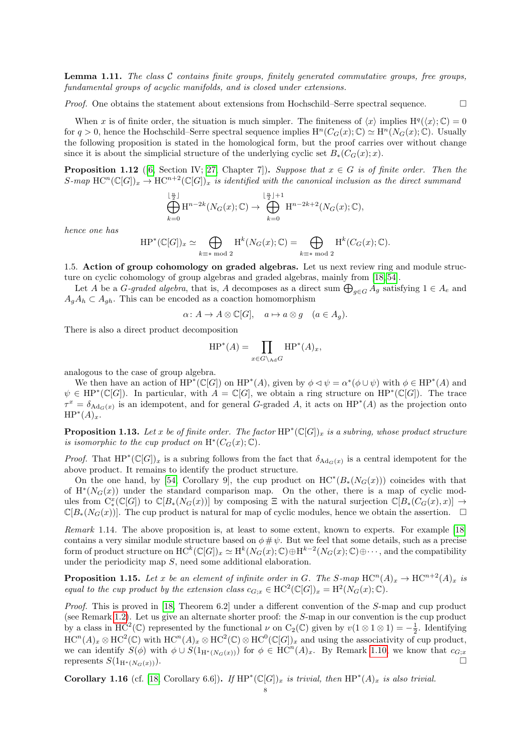<span id="page-7-1"></span>**Lemma 1.11.** The class  $\mathcal{C}$  contains finite groups, finitely generated commutative groups, free groups, fundamental groups of acyclic manifolds, and is closed under extensions.

*Proof.* One obtains the statement about extensions from Hochschild–Serre spectral sequence.  $\Box$ 

When x is of finite order, the situation is much simpler. The finiteness of  $\langle x \rangle$  implies  $H^q(\langle x \rangle; \mathbb{C}) = 0$ for  $q > 0$ , hence the Hochschild–Serre spectral sequence implies  $H^n(C_G(x); \mathbb{C}) \simeq H^n(N_G(x); \mathbb{C})$ . Usually the following proposition is stated in the homological form, but the proof carries over without change since it is about the simplicial structure of the underlying cyclic set  $B_*(C_G(x); x)$ .

<span id="page-7-0"></span>**Proposition 1.12** ([\[6,](#page-22-2) Section IV; [27,](#page-23-11) Chapter 7]). Suppose that  $x \in G$  is of finite order. Then the S-map  $\mathrm{HC}^n(\mathbb{C}[G])_x \to \mathrm{HC}^{n+2}(\mathbb{C}[G])_x$  is identified with the canonical inclusion as the direct summand

$$
\bigoplus_{k=0}^{\lfloor \frac{n}{2} \rfloor} \mathrm{H}^{n-2k}(N_G(x); \mathbb{C}) \to \bigoplus_{k=0}^{\lfloor \frac{n}{2} \rfloor + 1} \mathrm{H}^{n-2k+2}(N_G(x); \mathbb{C}),
$$

hence one has

$$
\mathrm{HP}^*(\mathbb{C}[G])_x \simeq \bigoplus_{k \equiv * \bmod 2} \mathrm{H}^k(N_G(x); \mathbb{C}) = \bigoplus_{k \equiv * \bmod 2} \mathrm{H}^k(C_G(x); \mathbb{C}).
$$

1.5. Action of group cohomology on graded algebras. Let us next review ring and module structure on cyclic cohomology of group algebras and graded algebras, mainly from [\[18,](#page-23-14) [54\]](#page-24-4).

Let A be a G-graded algebra, that is, A decomposes as a direct sum  $\bigoplus_{g\in G} A_g$  satisfying  $1 \in A_e$  and  $A_qA_h \subset A_{qh}$ . This can be encoded as a coaction homomorphism

$$
\alpha \colon A \to A \otimes \mathbb{C}[G], \quad a \mapsto a \otimes g \quad (a \in A_g).
$$

There is also a direct product decomposition

$$
\mathrm{HP}^*(A) = \prod_{x \in G \setminus \mathrm{Ad}G} \mathrm{HP}^*(A)_x,
$$

analogous to the case of group algebra.

We then have an action of  $HP^*(\mathbb{C}[G])$  on  $HP^*(A)$ , given by  $\phi \lhd \psi = \alpha^*(\phi \cup \psi)$  with  $\phi \in HP^*(A)$  and  $\psi \in HP^*(\mathbb{C}[G])$ . In particular, with  $A = \mathbb{C}[G]$ , we obtain a ring structure on  $HP^*(\mathbb{C}[G])$ . The trace  $\tau^x = \delta_{\text{Ad}_G(x)}$  is an idempotent, and for general G-graded A, it acts on  $HP^*(A)$  as the projection onto  $HP^*(A)_x$ .

**Proposition 1.13.** Let x be of finite order. The factor  $HP^*(\mathbb{C}[G])_x$  is a subring, whose product structure is isomorphic to the cup product on  $\mathrm{H}^*(C_G(x); \mathbb{C})$ .

*Proof.* That  $HP^*(\mathbb{C}[G])_x$  is a subring follows from the fact that  $\delta_{\text{Ad}_G(x)}$  is a central idempotent for the above product. It remains to identify the product structure.

On the one hand, by [\[54,](#page-24-4) Corollary 9], the cup product on  $HC^*(B_*(N_G(x)))$  coincides with that of  $H^*(N_G(x))$  under the standard comparison map. On the other, there is a map of cyclic modules from  $C^x_*(\mathbb{C}[G])$  to  $\mathbb{C}[B_*(N_G(x))]$  by composing  $\Xi$  with the natural surjection  $\mathbb{C}[B_*(C_G(x),x)] \to$  $\mathbb{C}[B_*(N_G(x))]$ . The cup product is natural for map of cyclic modules, hence we obtain the assertion.  $\square$ 

Remark 1.14. The above proposition is, at least to some extent, known to experts. For example [\[18\]](#page-23-14) contains a very similar module structure based on  $\phi \neq \psi$ . But we feel that some details, such as a precise form of product structure on  $HC^k(\mathbb{C}[G])_x \simeq H^k(N_G(x);\mathbb{C}) \oplus H^{k-2}(N_G(x);\mathbb{C}) \oplus \cdots$ , and the compatibility under the periodicity map S, need some additional elaboration.

**Proposition 1.15.** Let x be an element of infinite order in G. The S-map  $HC^n(A)_x \to HC^{n+2}(A)_x$  is equal to the cup product by the extension class  $c_{G;x} \in \text{HC}^2(\mathbb{C}[G])_x = \text{H}^2(N_G(x);\mathbb{C})$ .

Proof. This is proved in [\[18,](#page-23-14) Theorem 6.2] under a different convention of the S-map and cup product (see Remark [1.2\)](#page-4-2). Let us give an alternate shorter proof: the S-map in our convention is the cup product by a class in HC<sup>2</sup>(C) represented by the functional  $\nu$  on C<sub>2</sub>(C) given by  $v(1 \otimes 1 \otimes 1) = -\frac{1}{2}$ . Identifying  $\mathrm{HC}^n(A)_x \otimes \mathrm{HC}^2(\mathbb{C})$  with  $\mathrm{HC}^n(A)_x \otimes \mathrm{HC}^2(\mathbb{C}) \otimes \mathrm{HC}^0(\mathbb{C}[G])_x$  and using the associativity of cup product, we can identify  $S(\phi)$  with  $\phi \cup S(1_{H^*(N_G(x))})$  for  $\phi \in HC^n(A)_x$ . By Remark [1.10,](#page-6-0) we know that  $c_{G;x}$ represents  $S(1_{\mathbf{H}^*(N_G(x))})$ .

Corollary 1.16 (cf. [\[18,](#page-23-14) Corollary 6.6]). If  $HP^*(\mathbb{C}[G])_x$  is trivial, then  $HP^*(A)_x$  is also trivial.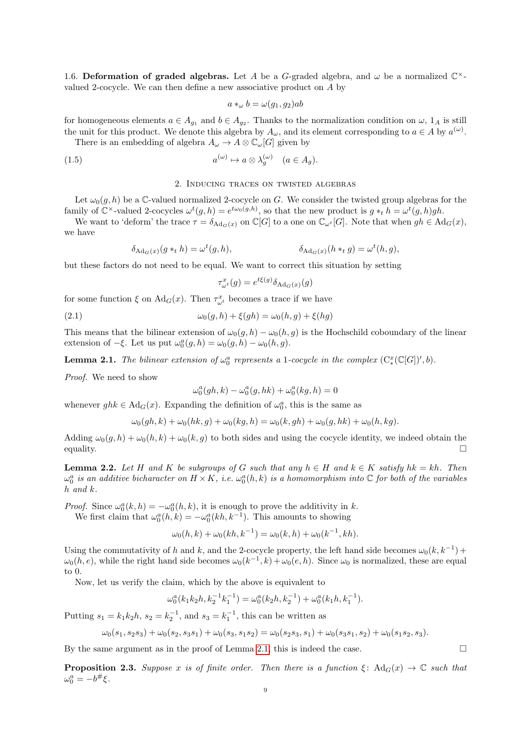1.6. Deformation of graded algebras. Let A be a G-graded algebra, and  $\omega$  be a normalized  $\mathbb{C}^{\times}$ valued 2-cocycle. We can then define a new associative product on A by

$$
a *_{\omega} b = \omega(g_1, g_2)ab
$$

for homogeneous elements  $a \in A_{g_1}$  and  $b \in A_{g_2}$ . Thanks to the normalization condition on  $\omega$ ,  $1_A$  is still the unit for this product. We denote this algebra by  $A_{\omega}$ , and its element corresponding to  $a \in A$  by  $a^{(\omega)}$ .

There is an embedding of algebra  $A_{\omega} \to A \otimes \mathbb{C}_{\omega}[G]$  given by

(1.5) 
$$
a^{(\omega)} \mapsto a \otimes \lambda_g^{(\omega)} \quad (a \in A_g).
$$

## <span id="page-8-4"></span>2. Inducing traces on twisted algebras

<span id="page-8-0"></span>Let  $\omega_0(g, h)$  be a C-valued normalized 2-cocycle on G. We consider the twisted group algebras for the family of  $\mathbb{C}^{\times}$ -valued 2-cocycles  $\omega^{t}(g,h) = e^{t\omega_{0}(g,h)},$  so that the new product is  $g *_{t} h = \omega^{t}(g,h)gh$ .

We want to 'deform' the trace  $\tau = \delta_{\text{Ad}_G(x)}$  on  $\mathbb{C}[G]$  to a one on  $\mathbb{C}_{\omega^t}[G]$ . Note that when  $gh \in \text{Ad}_G(x)$ , we have

$$
\delta_{\mathrm{Ad}_G(x)}(g *_{t} h) = \omega^{t}(g, h), \qquad \delta_{\mathrm{Ad}_G(x)}(h *_{t} g) = \omega^{t}(h, g),
$$

but these factors do not need to be equal. We want to correct this situation by setting

<span id="page-8-3"></span>
$$
\tau_{\omega^t}^x(g) = e^{t\xi(g)} \delta_{\text{Ad}_G(x)}(g)
$$

for some function  $\xi$  on  $\text{Ad}_G(x)$ . Then  $\tau_{\omega^t}^x$  becomes a trace if we have

(2.1) 
$$
\omega_0(g,h) + \xi(gh) = \omega_0(h,g) + \xi(hg)
$$

This means that the bilinear extension of  $\omega_0(g, h) - \omega_0(h, g)$  is the Hochschild coboundary of the linear extension of  $-\xi$ . Let us put  $\omega_0^a(g, h) = \omega_0(g, h) - \omega_0(h, g)$ .

<span id="page-8-1"></span>**Lemma 2.1.** The bilinear extension of  $\omega_0^a$  represents a 1-cocycle in the complex  $(C^x_*(\mathbb{C}[G])', b)$ .

Proof. We need to show

$$
\omega_0^a(gh,k) - \omega_0^a(g,hk) + \omega_0^a(kg,h) = 0
$$

whenever  $ghk \in \mathrm{Ad}_G(x)$ . Expanding the definition of  $\omega_0^a$ , this is the same as

$$
\omega_0(gh,k) + \omega_0(hk,g) + \omega_0(kg,h) = \omega_0(k,gh) + \omega_0(g,hk) + \omega_0(h,kg).
$$

Adding  $\omega_0(g, h) + \omega_0(h, k) + \omega_0(k, g)$  to both sides and using the cocycle identity, we indeed obtain the equality.  $\Box$ 

<span id="page-8-2"></span>**Lemma 2.2.** Let H and K be subgroups of G such that any  $h \in H$  and  $k \in K$  satisfy  $hk = kh$ . Then  $\omega_0^a$  is an additive bicharacter on  $H \times K$ , i.e.  $\omega_0^a(h, k)$  is a homomorphism into  $\mathbb C$  for both of the variables h and k.

*Proof.* Since  $\omega_0^a(k, h) = -\omega_0^a(h, k)$ , it is enough to prove the additivity in k.

We first claim that  $\omega_0^a(h, k) = -\omega_0^a(kh, k^{-1})$ . This amounts to showing

$$
\omega_0(h,k) + \omega_0(kh,k^{-1}) = \omega_0(k,h) + \omega_0(k^{-1},kh).
$$

Using the commutativity of h and k, and the 2-cocycle property, the left hand side becomes  $\omega_0(k, k^{-1})$  +  $\omega_0(h,e)$ , while the right hand side becomes  $\omega_0(k^{-1},k) + \omega_0(e,h)$ . Since  $\omega_0$  is normalized, these are equal to 0.

Now, let us verify the claim, which by the above is equivalent to

$$
\omega_0^{a}(k_1k_2h,k_2^{-1}k_1^{-1})=\omega_0^{a}(k_2h,k_2^{-1})+\omega_0^{a}(k_1h,k_1^{-1}).
$$

Putting  $s_1 = k_1 k_2 h$ ,  $s_2 = k_2^{-1}$ , and  $s_3 = k_1^{-1}$ , this can be written as

$$
\omega_0(s_1, s_2s_3) + \omega_0(s_2, s_3s_1) + \omega_0(s_3, s_1s_2) = \omega_0(s_2s_3, s_1) + \omega_0(s_3s_1, s_2) + \omega_0(s_1s_2, s_3).
$$

By the same argument as in the proof of Lemma [2.1,](#page-8-1) this is indeed the case.

<span id="page-8-5"></span>**Proposition 2.3.** Suppose x is of finite order. Then there is a function  $\xi$ : Ad<sub>G</sub>(x)  $\rightarrow \mathbb{C}$  such that  $\omega_0^a = -b^\#\xi.$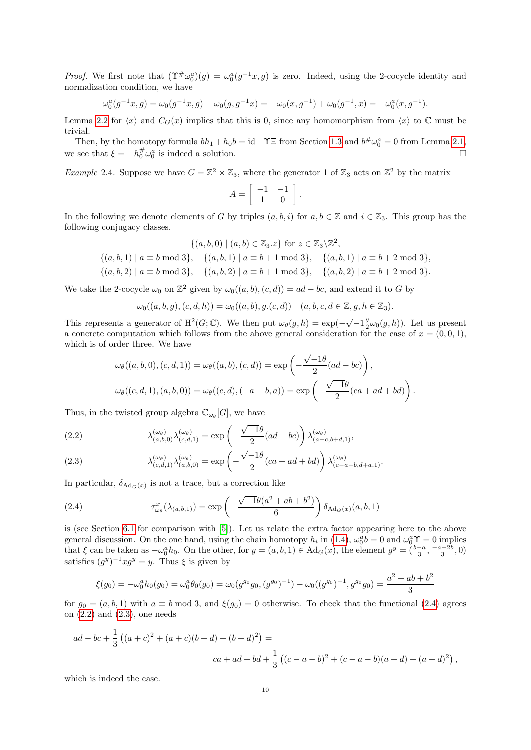*Proof.* We first note that  $(\Upsilon^{\#}\omega_0^a)(g) = \omega_0^a(g^{-1}x, g)$  is zero. Indeed, using the 2-cocycle identity and normalization condition, we have

$$
\omega_0^a(g^{-1}x,g) = \omega_0(g^{-1}x,g) - \omega_0(g,g^{-1}x) = -\omega_0(x,g^{-1}) + \omega_0(g^{-1},x) = -\omega_0^a(x,g^{-1}).
$$

Lemma [2.2](#page-8-2) for  $\langle x \rangle$  and  $C_G(x)$  implies that this is 0, since any homomorphism from  $\langle x \rangle$  to  $\mathbb C$  must be trivial.

Then, by the homotopy formula  $bh_1 + h_0b = id - \Upsilon \Xi$  from Section [1.3](#page-4-3) and  $b^{\#}\omega_0^a = 0$  from Lemma [2.1,](#page-8-1) we see that  $\xi = -h_0^{\#}\omega_0^a$  is indeed a solution.

<span id="page-9-3"></span>*Example* 2.4. Suppose we have  $G = \mathbb{Z}^2 \rtimes \mathbb{Z}_3$ , where the generator 1 of  $\mathbb{Z}_3$  acts on  $\mathbb{Z}^2$  by the matrix

$$
A = \left[ \begin{array}{cc} -1 & -1 \\ 1 & 0 \end{array} \right].
$$

In the following we denote elements of G by triples  $(a, b, i)$  for  $a, b \in \mathbb{Z}$  and  $i \in \mathbb{Z}_3$ . This group has the following conjugacy classes.

$$
\{(a, b, 0) \mid (a, b) \in \mathbb{Z}_3. z\} \text{ for } z \in \mathbb{Z}_3 \setminus \mathbb{Z}^2,
$$
  

$$
\{(a, b, 1) \mid a \equiv b \mod 3\}, \quad \{(a, b, 1) \mid a \equiv b + 1 \mod 3\}, \quad \{(a, b, 1) \mid a \equiv b + 2 \mod 3\},
$$
  

$$
\{(a, b, 2) \mid a \equiv b \mod 3\}, \quad \{(a, b, 2) \mid a \equiv b + 1 \mod 3\}, \quad \{(a, b, 2) \mid a \equiv b + 2 \mod 3\}.
$$

We take the 2-cocycle  $\omega_0$  on  $\mathbb{Z}^2$  given by  $\omega_0((a, b), (c, d)) = ad - bc$ , and extend it to G by

$$
\omega_0((a, b, g), (c, d, h)) = \omega_0((a, b), g.(c, d)) \quad (a, b, c, d \in \mathbb{Z}, g, h \in \mathbb{Z}_3).
$$

This represents a generator of  $H^2(G; \mathbb{C})$ . We then put  $\omega_{\theta}(g, h) = \exp(-\sqrt{-1} \frac{\theta}{2} \omega_0(g, h))$ . Let us present a concrete computation which follows from the above general consideration for the case of  $x = (0, 0, 1)$ , which is of order three. We have

$$
\omega_{\theta}((a,b,0),(c,d,1)) = \omega_{\theta}((a,b),(c,d)) = \exp\left(-\frac{\sqrt{-1}\theta}{2}(ad - bc)\right),
$$
  

$$
\omega_{\theta}((c,d,1),(a,b,0)) = \omega_{\theta}((c,d),(-a-b,a)) = \exp\left(-\frac{\sqrt{-1}\theta}{2}(ca + ad + bd)\right).
$$

Thus, in the twisted group algebra  $\mathbb{C}_{\omega_{\theta}}[G]$ , we have

<span id="page-9-1"></span>(2.2) 
$$
\lambda_{(a,b,0)}^{(\omega_{\theta})}\lambda_{(c,d,1)}^{(\omega_{\theta})} = \exp\left(-\frac{\sqrt{-1}\theta}{2}(ad - bc)\right)\lambda_{(a+c,b+d,1)}^{(\omega_{\theta})},
$$

<span id="page-9-2"></span>(2.3) 
$$
\lambda_{(c,d,1)}^{(\omega_{\theta})}\lambda_{(a,b,0)}^{(\omega_{\theta})} = \exp\left(-\frac{\sqrt{-1}\theta}{2}(ca+ad+bd)\right)\lambda_{(c-a-b,d+a,1)}^{(\omega_{\theta})}.
$$

In particular,  $\delta_{\text{Ad}_G(x)}$  is not a trace, but a correction like

<span id="page-9-0"></span>(2.4) 
$$
\tau_{\omega_{\theta}}^{x}(\lambda_{(a,b,1)}) = \exp\left(-\frac{\sqrt{-1}\theta(a^{2}+ab+b^{2})}{6}\right)\delta_{\text{Ad}_{G}(x)}(a,b,1)
$$

is (see Section [6.1](#page-21-0) for comparison with [\[5\]](#page-22-1)). Let us relate the extra factor appearing here to the above general discussion. On the one hand, using the chain homotopy  $h_i$  in [\(1.4\)](#page-6-1),  $\omega_0^a b = 0$  and  $\omega_0^a \Upsilon = 0$  implies that  $\xi$  can be taken as  $-\omega_0^a h_0$ . On the other, for  $y = (a, b, 1) \in \mathrm{Ad}_G(x)$ , the element  $g^y = (\frac{b-a}{3}, \frac{-a-2b}{3}, 0)$ satisfies  $(g^y)^{-1}xg^y = y$ . Thus  $\xi$  is given by

$$
\xi(g_0) = -\omega_0^a h_0(g_0) = \omega_0^a \theta_0(g_0) = \omega_0(g^{g_0}g_0, (g^{g_0})^{-1}) - \omega_0((g^{g_0})^{-1}, g^{g_0}g_0) = \frac{a^2 + ab + b^2}{3}
$$

for  $g_0 = (a, b, 1)$  with  $a \equiv b \mod 3$ , and  $\xi(g_0) = 0$  otherwise. To check that the functional [\(2.4\)](#page-9-0) agrees on  $(2.2)$  and  $(2.3)$ , one needs

$$
ad - bc + \frac{1}{3} ((a + c)^2 + (a + c)(b + d) + (b + d)^2) =
$$
  

$$
ca + ad + bd + \frac{1}{3} ((c - a - b)^2 + (c - a - b)(a + d) + (a + d)^2),
$$

which is indeed the case.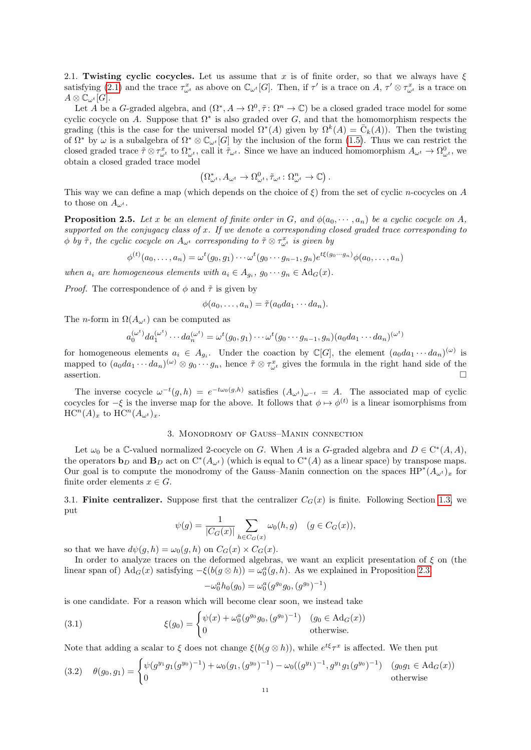2.1. Twisting cyclic cocycles. Let us assume that x is of finite order, so that we always have  $\xi$ satisfying [\(2.1\)](#page-8-3) and the trace  $\tau_{\omega^t}^x$  as above on  $\mathbb{C}_{\omega^t}[G]$ . Then, if  $\tau'$  is a trace on A,  $\tau' \otimes \tau_{\omega^t}^x$  is a trace on  $A\otimes \mathbb{C}_{\omega^t}[G].$ 

Let A be a G-graded algebra, and  $(\Omega^*, A \to \Omega^0, \tilde{\tau}: \Omega^n \to \mathbb{C})$  be a closed graded trace model for some cyclic cocycle on A. Suppose that  $\Omega^*$  is also graded over G, and that the homomorphism respects the grading (this is the case for the universal model  $\Omega^*(A)$  given by  $\Omega^k(A) = \overline{C}_k(A)$ ). Then the twisting of  $\Omega^*$  by  $\omega$  is a subalgebra of  $\Omega^* \otimes \mathbb{C}_{\omega^t}[G]$  by the inclusion of the form [\(1.5\)](#page-8-4). Thus we can restrict the closed graded trace  $\tilde{\tau} \otimes \tau_{\omega^t}^x$  to  $\Omega_{\omega^t}^*$ , call it  $\tilde{\tau}_{\omega^t}$ . Since we have an induced homomorphism  $A_{\omega^t} \to \Omega_{\omega^t}^0$ , we obtain a closed graded trace model

$$
\left(\Omega_{\omega^t}^*, A_{\omega^t} \to \Omega_{\omega^t}^0, \tilde{\tau}_{\omega^t} : \Omega_{\omega^t}^n \to \mathbb{C}\right).
$$

This way we can define a map (which depends on the choice of  $\xi$ ) from the set of cyclic n-cocycles on A to those on  $A_{\omega^t}$ .

<span id="page-10-3"></span>**Proposition 2.5.** Let x be an element of finite order in G, and  $\phi(a_0, \dots, a_n)$  be a cyclic cocycle on A, supported on the conjugacy class of  $x$ . If we denote a corresponding closed graded trace corresponding to  $\phi$  by  $\tilde{\tau}$ , the cyclic cocycle on  $A_{\omega^t}$  corresponding to  $\tilde{\tau} \otimes \tau_{\omega^t}^x$  is given by

$$
\phi^{(t)}(a_0,\ldots,a_n) = \omega^t(g_0,g_1)\cdots\omega^t(g_0\cdots g_{n-1},g_n)e^{t\xi(g_0\cdots g_n)}\phi(a_0,\ldots,a_n)
$$

when  $a_i$  are homogeneous elements with  $a_i \in A_{g_i}, g_0 \cdots g_n \in \mathrm{Ad}_G(x)$ .

*Proof.* The correspondence of  $\phi$  and  $\tilde{\tau}$  is given by

$$
\phi(a_0,\ldots,a_n)=\tilde{\tau}(a_0da_1\cdots da_n).
$$

The *n*-form in  $\Omega(A_{\omega^t})$  can be computed as

$$
a_0^{(\omega^t)} da_1^{(\omega^t)} \cdots da_n^{(\omega^t)} = \omega^t(g_0, g_1) \cdots \omega^t(g_0 \cdots g_{n-1}, g_n) (a_0 da_1 \cdots da_n)^{(\omega^t)}
$$

for homogeneous elements  $a_i \in A_{g_i}$ . Under the coaction by C[G], the element  $(a_0da_1\cdots da_n)^{(\omega)}$  is mapped to  $(a_0da_1\cdots da_n)^{(\omega)}\otimes g_0\cdots g_n$ , hence  $\tilde{\tau}\otimes\tau_{\omega^t}^x$  gives the formula in the right hand side of the  $\Box$  assertion.

The inverse cocycle  $\omega^{-t}(g, h) = e^{-t\omega_0(g, h)}$  satisfies  $(A_{\omega^t})_{\omega^{-t}} = A$ . The associated map of cyclic cocycles for  $-\xi$  is the inverse map for the above. It follows that  $\phi \mapsto \phi^{(t)}$  is a linear isomorphisms from  $\mathrm{HC}^n(A)_x$  to  $\mathrm{HC}^n(A_{\omega^t})_x$ .

## 3. Monodromy of Gauss–Manin connection

<span id="page-10-0"></span>Let  $\omega_0$  be a C-valued normalized 2-cocycle on G. When A is a G-graded algebra and  $D \in C^*(A, A)$ , the operators  $\mathbf{b}_D$  and  $\mathbf{B}_D$  act on  $C^*(A_{\omega^t})$  (which is equal to  $C^*(A)$  as a linear space) by transpose maps. Our goal is to compute the monodromy of the Gauss–Manin connection on the spaces  $HP^*(A_{\omega^t})_x$  for finite order elements  $x \in G$ .

<span id="page-10-4"></span>3.1. Finite centralizer. Suppose first that the centralizer  $C_G(x)$  is finite. Following Section [1.3,](#page-4-3) we put

$$
\psi(g) = \frac{1}{|C_G(x)|} \sum_{h \in C_G(x)} \omega_0(h, g) \quad (g \in C_G(x)),
$$

so that we have  $d\psi(g, h) = \omega_0(g, h)$  on  $C_G(x) \times C_G(x)$ .

In order to analyze traces on the deformed algebras, we want an explicit presentation of  $\xi$  on (the linear span of)  $\text{Ad}_G(x)$  satisfying  $-\xi(b(g \otimes h)) = \omega_0^a(g, h)$ . As we explained in Proposition [2.3,](#page-8-5)

<span id="page-10-1"></span>
$$
-\omega_0^a h_0(g_0) = \omega_0^a (g^{g_0} g_0, (g^{g_0})^{-1})
$$

is one candidate. For a reason which will become clear soon, we instead take

(3.1) 
$$
\xi(g_0) = \begin{cases} \psi(x) + \omega_0^a (g^{g_0} g_0, (g^{g_0})^{-1}) & (g_0 \in \text{Ad}_G(x)) \\ 0 & \text{otherwise.} \end{cases}
$$

Note that adding a scalar to  $\xi$  does not change  $\xi(b(g \otimes h))$ , while  $e^{t\xi} \tau^x$  is affected. We then put

<span id="page-10-2"></span>
$$
(3.2) \quad \theta(g_0, g_1) = \begin{cases} \psi(g^{y_1}g_1(g^{y_0})^{-1}) + \omega_0(g_1, (g^{y_0})^{-1}) - \omega_0((g^{y_1})^{-1}, g^{y_1}g_1(g^{y_0})^{-1}) & (g_0g_1 \in \text{Ad}_G(x)) \\ 0 & \text{otherwise} \end{cases}
$$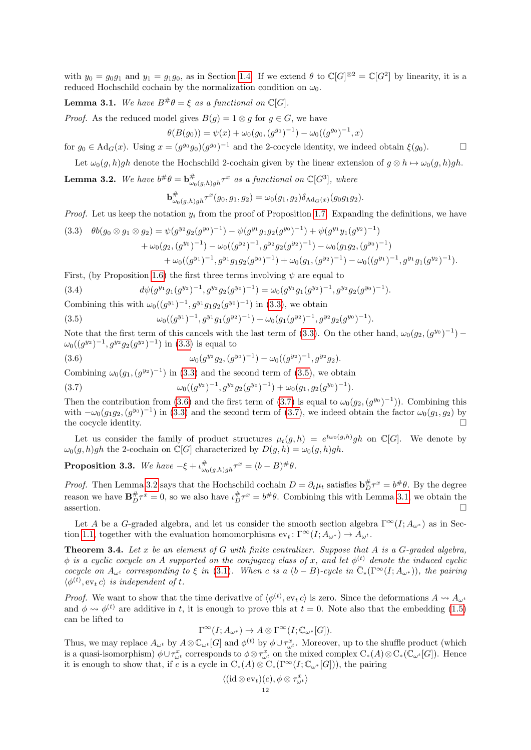with  $y_0 = g_0 g_1$  and  $y_1 = g_1 g_0$ , as in Section [1.4.](#page-5-0) If we extend  $\theta$  to  $\mathbb{C}[G]^{\otimes 2} = \mathbb{C}[G^2]$  by linearity, it is a reduced Hochschild cochain by the normalization condition on  $\omega_0$ .

# <span id="page-11-5"></span>**Lemma 3.1.** We have  $B^{\#}\theta = \xi$  as a functional on  $\mathbb{C}[G]$ .

*Proof.* As the reduced model gives  $B(q) = 1 \otimes q$  for  $q \in G$ , we have

$$
\theta(B(g_0)) = \psi(x) + \omega_0(g_0, (g^{g_0})^{-1}) - \omega_0((g^{g_0})^{-1}, x)
$$

for  $g_0 \in \text{Ad}_G(x)$ . Using  $x = (g^{g_0}g_0)(g^{g_0})^{-1}$  and the 2-cocycle identity, we indeed obtain  $\xi(g_0)$ .

Let  $\omega_0(g, h)gh$  denote the Hochschild 2-cochain given by the linear extension of  $g \otimes h \mapsto \omega_0(g, h)gh$ .

<span id="page-11-4"></span>**Lemma 3.2.** We have  $b^{\#}\theta = b^{\#}_{\omega_0(g,h)gh}\tau^x$  as a functional on  $\mathbb{C}[G^3]$ , where

$$
\mathbf{b}_{\omega_0(g,h)gh}^{\#} \tau^x(g_0,g_1,g_2) = \omega_0(g_1,g_2) \delta_{\mathrm{Ad}_G(x)}(g_0g_1g_2).
$$

*Proof.* Let us keep the notation  $y_i$  from the proof of Proposition [1.7.](#page-5-1) Expanding the definitions, we have

<span id="page-11-0"></span>
$$
(3.3) \quad \theta b(g_0 \otimes g_1 \otimes g_2) = \psi(g^{y_2} g_2(g^{y_0})^{-1}) - \psi(g^{y_1} g_1 g_2(g^{y_0})^{-1}) + \psi(g^{y_1} y_1(g^{y_2})^{-1}) + \omega_0(g_2, (g^{y_0})^{-1}) - \omega_0((g^{y_2})^{-1}, g^{y_2} g_2(g^{y_2})^{-1}) - \omega_0(g_1 g_2, (g^{y_0})^{-1}) + \omega_0((g^{y_1})^{-1}, g^{y_1} g_1 g_2(g^{y_0})^{-1}) + \omega_0(g_1, (g^{y_2})^{-1}) - \omega_0((g^{y_1})^{-1}, g^{y_1} g_1(g^{y_2})^{-1}).
$$

First, (by Proposition [1.6\)](#page-5-2) the first three terms involving  $\psi$  are equal to

<span id="page-11-7"></span>(3.4) 
$$
d\psi(g^{y_1}g_1(g^{y_2})^{-1}, g^{y_2}g_2(g^{y_0})^{-1}) = \omega_0(g^{y_1}g_1(g^{y_2})^{-1}, g^{y_2}g_2(g^{y_0})^{-1}).
$$

Combining this with  $\omega_0((g^{y_1})^{-1}, g^{y_1}g_1g_2(g^{y_0})^{-1})$  in [\(3.3\)](#page-11-0), we obtain

<span id="page-11-1"></span>(3.5) 
$$
\omega_0((g^{y_1})^{-1}, g^{y_1}g_1(g^{y_2})^{-1}) + \omega_0(g_1(g^{y_2})^{-1}, g^{y_2}g_2(g^{y_0})^{-1}).
$$

Note that the first term of this cancels with the last term of [\(3.3\)](#page-11-0). On the other hand,  $\omega_0(g_2,(g^{y_0})^{-1})$  –  $\omega_0((g^{y_2})^{-1}, g^{y_2}g_2(g^{y_2})^{-1})$  in [\(3.3\)](#page-11-0) is equal to

<span id="page-11-2"></span>(3.6) 
$$
\omega_0(g^{y_2}g_2,(g^{y_0})^{-1})-\omega_0((g^{y_2})^{-1},g^{y_2}g_2).
$$

Combining  $\omega_0(g_1, (g^{y_2})^{-1})$  in [\(3.3\)](#page-11-0) and the second term of [\(3.5\)](#page-11-1), we obtain

<span id="page-11-3"></span>
$$
(3.7) \t\t \t\t \omega_0((g^{y_2})^{-1}, g^{y_2}g_2(g^{y_0})^{-1}) + \omega_0(g_1, g_2(g^{y_0})^{-1}).
$$

Then the contribution from [\(3.6\)](#page-11-2) and the first term of [\(3.7\)](#page-11-3) is equal to  $\omega_0(g_2,(g^{y_0})^{-1})$ ). Combining this with  $-\omega_0(g_1g_2,(g^{y_0})^{-1})$  in [\(3.3\)](#page-11-0) and the second term of [\(3.7\)](#page-11-3), we indeed obtain the factor  $\omega_0(g_1,g_2)$  by the cocycle identity.  $\Box$ 

Let us consider the family of product structures  $\mu_t(g,h) = e^{t\omega_0(g,h)}gh$  on  $\mathbb{C}[G]$ . We denote by  $\omega_0(g, h)gh$  the 2-cochain on  $\mathbb{C}[G]$  characterized by  $D(g, h) = \omega_0(g, h)gh$ .

<span id="page-11-6"></span>**Proposition 3.3.** We have  $-\xi + \iota_{\omega_0(g,h)gh}^{\#} \tau^x = (b-B)^{\#}\theta$ .

*Proof.* Then Lemma [3.2](#page-11-4) says that the Hochschild cochain  $D = \partial_t \mu_t$  satisfies  $\mathbf{b}_D^{\#} \tau^x = b^{\#} \theta$ . By the degree reason we have  $\mathbf{B}_{D}^{\#}\tau^{x}=0$ , so we also have  $\iota_{D}^{\#}\tau^{x}=b^{\#}\theta$ . Combining this with Lemma [3.1,](#page-11-5) we obtain the assertion.  $\Box$ 

Let A be a G-graded algebra, and let us consider the smooth section algebra  $\Gamma^{\infty}(I; A_{\omega^*})$  as in Sec-tion [1.1,](#page-1-2) together with the evaluation homomorphisms  $ev_t : \Gamma^\infty(I; A_{\omega^*}) \to A_{\omega^t}$ .

<span id="page-11-8"></span>**Theorem 3.4.** Let  $x$  be an element of  $G$  with finite centralizer. Suppose that  $A$  is a  $G$ -graded algebra,  $\phi$  is a cyclic cocycle on A supported on the conjugacy class of x, and let  $\phi^{(t)}$  denote the induced cyclic cocycle on  $A_{\omega^t}$  corresponding to  $\xi$  in [\(3.1\)](#page-10-1). When c is a  $(b-B)$ -cycle in  $\overline{C}_*(\Gamma^\infty(I;A_{\omega^*}))$ , the pairing  $\langle \phi^{(t)}, \text{ev}_t \, c \rangle$  is independent of t.

*Proof.* We want to show that the time derivative of  $\langle \phi^{(t)}, e_v \rangle$  is zero. Since the deformations  $A \leadsto A_{\omega^t}$ and  $\phi \rightsquigarrow \phi^{(t)}$  are additive in t, it is enough to prove this at  $t = 0$ . Note also that the embedding [\(1.5\)](#page-8-4) can be lifted to

$$
\Gamma^\infty(I; A_{\omega^*}) \to A \otimes \Gamma^\infty(I; \mathbb{C}_{\omega^*}[G]).
$$

Thus, we may replace  $A_{\omega^t}$  by  $A \otimes \mathbb{C}_{\omega^t}[G]$  and  $\phi^{(t)}$  by  $\phi \cup \tau_{\omega^t}^x$ . Moreover, up to the shuffle product (which is a quasi-isomorphism)  $\phi \cup \tau_{\omega^t}^x$  corresponds to  $\phi \otimes \tau_{\omega^t}^x$  on the mixed complex  $C_*(A) \otimes C_*(\mathbb{C}_{\omega^t}[G])$ . Hence it is enough to show that, if c is a cycle in  $C_*(A) \otimes C_*(\Gamma^\infty(I; \mathbb{C}_{\omega^*}[G]))$ , the pairing

$$
\langle (\operatorname{id} \otimes \operatorname{ev}_t)(c), \phi \otimes \tau_{\omega^t}^x \rangle
$$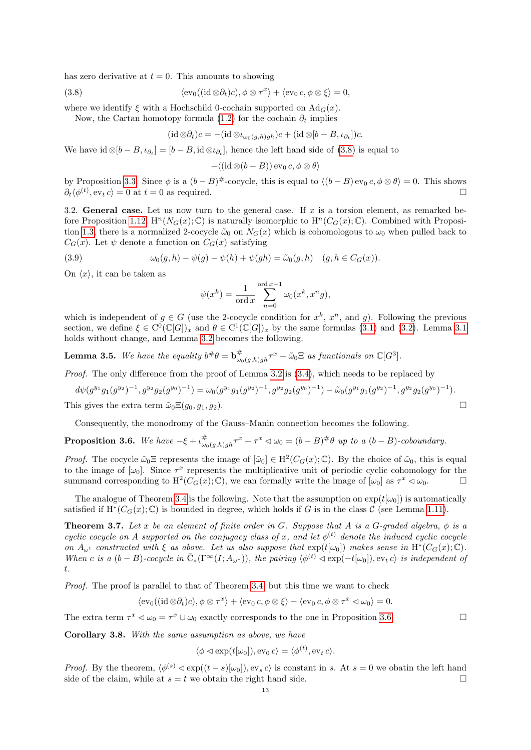has zero derivative at  $t = 0$ . This amounts to showing

(3.8) 
$$
\langle \operatorname{ev}_0((\operatorname{id} \otimes \partial_t)c), \phi \otimes \tau^x \rangle + \langle \operatorname{ev}_0 c, \phi \otimes \xi \rangle = 0,
$$

where we identify  $\xi$  with a Hochschild 0-cochain supported on  $\text{Ad}_G(x)$ .

Now, the Cartan homotopy formula [\(1.2\)](#page-3-0) for the cochain  $\partial_t$  implies

<span id="page-12-0"></span>
$$
(\mathrm{id}\otimes\partial_t)c = -(\mathrm{id}\otimes\iota_{\omega_0(g,h)gh})c + (\mathrm{id}\otimes[b-B,\iota_{\partial_t}])c.
$$

We have  $\mathrm{id} \otimes [b - B, \iota_{\partial_t}] = [b - B, \mathrm{id} \otimes \iota_{\partial_t}],$  hence the left hand side of  $(3.8)$  is equal to

$$
-\langle (\mathrm{id}\otimes (b-B))\,\mathrm{ev}_0\,c,\phi\otimes\theta\rangle
$$

by Proposition [3.3.](#page-11-6) Since  $\phi$  is a  $(b - B)^{\#}$ -cocycle, this is equal to  $\langle (b - B) \exp(c, \phi \otimes \theta) \rangle = 0$ . This shows  $\partial_t \langle \phi^{(t)}, \text{ev}_t c \rangle = 0$  at  $t = 0$  as required.

<span id="page-12-2"></span>3.2. General case. Let us now turn to the general case. If x is a torsion element, as remarked be-fore Proposition [1.12,](#page-7-0)  $H^n(N_G(x); \mathbb{C})$  is naturally isomorphic to  $H^n(C_G(x); \mathbb{C})$ . Combined with Proposi-tion [1.3,](#page-4-4) there is a normalized 2-cocycle  $\tilde{\omega}_0$  on  $N_G(x)$  which is cohomologous to  $\omega_0$  when pulled back to  $C_G(x)$ . Let  $\psi$  denote a function on  $C_G(x)$  satisfying

(3.9) 
$$
\omega_0(g,h) - \psi(g) - \psi(h) + \psi(gh) = \tilde{\omega}_0(g,h) \quad (g,h \in C_G(x)).
$$

On  $\langle x \rangle$ , it can be taken as

$$
\psi(x^k) = \frac{1}{\text{ord }x} \sum_{n=0}^{\text{ord }x-1} \omega_0(x^k, x^n g),
$$

which is independent of  $g \in G$  (use the 2-cocycle condition for  $x^k$ ,  $x^n$ , and g). Following the previous section, we define  $\xi \in C^0(\mathbb{C}[G])_x$  and  $\theta \in C^1(\mathbb{C}[G])_x$  by the same formulas  $(3.1)$  and  $(3.2)$ . Lemma [3.1](#page-11-5) holds without change, and Lemma [3.2](#page-11-4) becomes the following.

**Lemma 3.5.** We have the equality  $b^{\#}\theta = \mathbf{b}^{\#}_{\omega_0(g,h)gh}\tau^x + \tilde{\omega}_0\Xi$  as functionals on  $\mathbb{C}[G^3]$ .

*Proof.* The only difference from the proof of Lemma [3.2](#page-11-4) is  $(3.4)$ , which needs to be replaced by

$$
d\psi(g^{y_1}g_1(g^{y_2})^{-1}, g^{y_2}g_2(g^{y_0})^{-1}) = \omega_0(g^{y_1}g_1(g^{y_2})^{-1}, g^{y_2}g_2(g^{y_0})^{-1}) - \tilde{\omega}_0(g^{y_1}g_1(g^{y_2})^{-1}, g^{y_2}g_2(g^{y_0})^{-1}).
$$
  
This gives the extra term  $\tilde{\omega}_0 \Xi(g_0, g_1, g_2)$ .

Consequently, the monodromy of the Gauss–Manin connection becomes the following.

<span id="page-12-1"></span>**Proposition 3.6.** We have  $-\xi + \iota_{\omega_0(g,h)gh}^{\#} \tau^x + \tau^x \triangleleft \omega_0 = (b-B)^{\#}\theta$  up to a  $(b-B)$ -coboundary.

*Proof.* The cocycle  $\tilde{\omega}_0 \Xi$  represents the image of  $[\tilde{\omega}_0] \in H^2(C_G(x); \mathbb{C})$ . By the choice of  $\tilde{\omega}_0$ , this is equal to the image of  $[\omega_0]$ . Since  $\tau^x$  represents the multiplicative unit of periodic cyclic cohomology for the summand corresponding to  $\mathrm{H}^2(C_G(x); \mathbb{C})$ , we can formally write the image of  $[\omega_0]$  as  $\tau^x \lhd \omega_0$ .

The analogue of Theorem [3.4](#page-11-8) is the following. Note that the assumption on  $\exp(t[\omega_0])$  is automatically satisfied if  $H^*(C_G(x); \mathbb{C})$  is bounded in degree, which holds if G is in the class C (see Lemma [1.11\)](#page-7-1).

**Theorem 3.7.** Let x be an element of finite order in G. Suppose that A is a G-graded algebra,  $\phi$  is a cyclic cocycle on A supported on the conjugacy class of x, and let  $\phi^{(t)}$  denote the induced cyclic cocycle on  $A_{\omega^t}$  constructed with  $\xi$  as above. Let us also suppose that  $\exp(t[\omega_0])$  makes sense in  $H^*(C_G(x);\mathbb{C})$ . When c is a  $(b - B)$ -cocycle in  $\overline{C}_*(\Gamma^\infty(I; A_{\omega^*}))$ , the pairing  $\langle \phi^{(t)} \triangleleft \exp(-t[\omega_0]), \text{ev}_t c \rangle$  is independent of t.

Proof. The proof is parallel to that of Theorem [3.4,](#page-11-8) but this time we want to check

$$
\langle \operatorname{ev}_0((\operatorname{id} \otimes \partial_t)c), \phi \otimes \tau^x \rangle + \langle \operatorname{ev}_0 c, \phi \otimes \xi \rangle - \langle \operatorname{ev}_0 c, \phi \otimes \tau^x \vartriangleleft \omega_0 \rangle = 0.
$$

The extra term  $\tau^x \lhd \omega_0 = \tau^x \cup \omega_0$  exactly corresponds to the one in Proposition [3.6.](#page-12-1)

Corollary 3.8. With the same assumption as above, we have

$$
\langle \phi \triangleleft \exp(t[\omega_0]), \text{ev}_0 \, c \rangle = \langle \phi^{(t)}, \text{ev}_t \, c \rangle.
$$

*Proof.* By the theorem,  $\langle \phi^{(s)} \triangleleft \exp((t-s)[\omega_0]), \text{ev}_s c \rangle$  is constant in s. At  $s = 0$  we obatin the left hand side of the claim, while at  $s = t$  we obtain the right hand side.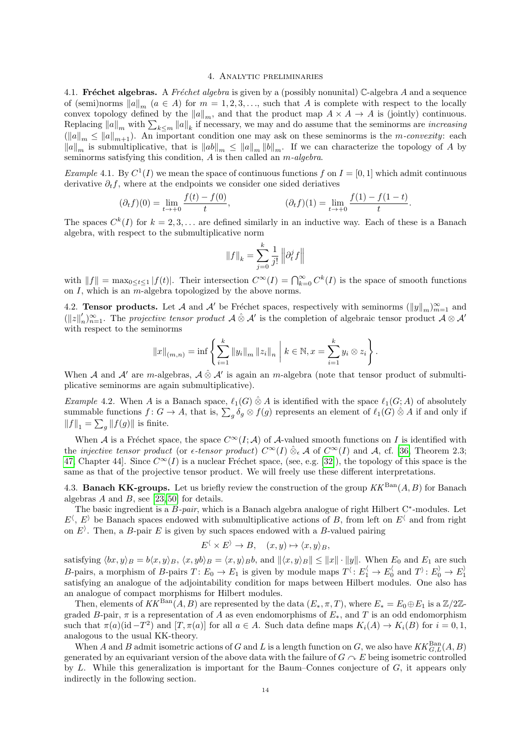#### 4. Analytic preliminaries

<span id="page-13-0"></span>4.1. Fréchet algebras. A Fréchet algebra is given by a (possibly nonunital) C-algebra A and a sequence of (semi)norms  $||a||_m$  ( $a \in A$ ) for  $m = 1, 2, 3, \ldots$ , such that A is complete with respect to the locally convex topology defined by the  $||a||_m$ , and that the product map  $A \times A \to A$  is (jointly) continuous. Replacing  $||a||_m$  with  $\sum_{k\leq m} ||a||_k$  if necessary, we may and do assume that the seminorms are *increasing*  $\|u\|_{m} \leq \|u\|_{m+1}$ . An important condition one may ask on these seminorms is the m-convexity: each  $\|a\|_m$  is submultiplicative, that is  $\|ab\|_m \leq \|a\|_m \|\dot{b}\|_m$ . If we can characterize the topology of A by seminorms satisfying this condition,  $\overrightarrow{A}$  is then called an  $\overrightarrow{m}$ -algebra.

*Example* 4.1. By  $C^1(I)$  we mean the space of continuous functions f on  $I = [0, 1]$  which admit continuous derivative  $\partial_t f$ , where at the endpoints we consider one sided deriatives

$$
(\partial_t f)(0) = \lim_{t \to +0} \frac{f(t) - f(0)}{t}, \qquad (\partial_t f)(1) = \lim_{t \to +0} \frac{f(1) - f(1 - t)}{t}.
$$

The spaces  $C^{k}(I)$  for  $k = 2, 3, ...$  are defined similarly in an inductive way. Each of these is a Banach algebra, with respect to the submultiplicative norm

$$
\|f\|_k = \sum_{j=0}^k \frac{1}{j!} \left\| \partial_t^j f \right\|
$$

with  $||f|| = \max_{0 \le t \le 1} |f(t)|$ . Their intersection  $C^{\infty}(I) = \bigcap_{k=0}^{\infty} C^k(I)$  is the space of smooth functions on I, which is an  $m$ -algebra topologized by the above norms.

4.2. **Tensor products.** Let A and A' be Fréchet spaces, respectively with seminorms  $(\|y\|_m)_{m=1}^{\infty}$  and  $(||z||'_i$  $n'_{n}$ <sub>n</sub> $\infty$ <sub>n</sub>-1. The projective tensor product  $\mathcal{A} \otimes \mathcal{A}'$  is the completion of algebraic tensor product  $\mathcal{A} \otimes \mathcal{A}'$ with respect to the seminorms

$$
||x||_{(m,n)} = \inf \left\{ \sum_{i=1}^{k} ||y_i||_m ||z_i||_n \mid k \in \mathbb{N}, x = \sum_{i=1}^{k} y_i \otimes z_i \right\}.
$$

When A and A' are m-algebras,  $\mathcal{A} \otimes \mathcal{A}'$  is again an m-algebra (note that tensor product of submultiplicative seminorms are again submultiplicative).

Example 4.2. When A is a Banach space,  $\ell_1(G) \hat{\otimes} A$  is identified with the space  $\ell_1(G; A)$  of absolutely summable functions  $f: G \to A$ , that is,  $\sum_g \delta_g \otimes f(g)$  represents an element of  $\ell_1(G) \otimes A$  if and only if  $||f||_1 = \sum_g ||f(g)||$  is finite.

When A is a Fréchet space, the space  $C^{\infty}(I; A)$  of A-valued smooth functions on I is identified with the *injective tensor product* (or  $\epsilon$ -tensor product)  $C^{\infty}(I) \otimes_{\epsilon} A$  of  $C^{\infty}(I)$  and A, cf. [\[36,](#page-23-16) Theorem 2.3; [47,](#page-24-8) Chapter 44. Since  $C^{\infty}(I)$  is a nuclear Fréchet space, (see, e.g. [\[32\]](#page-23-17)), the topology of this space is the same as that of the projective tensor product. We will freely use these different interpretations.

4.3. Banach KK-groups. Let us briefly review the construction of the group  $KK^{\text{Ban}}(A, B)$  for Banach algebras  $A$  and  $B$ , see [\[23,](#page-23-18) [50\]](#page-24-9) for details.

The basic ingredient is a  $B$ -pair, which is a Banach algebra analogue of right Hilbert  $C^*$ -modules. Let  $E^{\langle}, E^{\rangle}$  be Banach spaces endowed with submultiplicative actions of B, from left on  $E^{\langle}$  and from right on  $E<sup>3</sup>$ . Then, a B-pair E is given by such spaces endowed with a B-valued pairing

$$
E^{\langle} \times E^{\rangle} \to B, \quad (x, y) \mapsto \langle x, y \rangle_B,
$$

satisfying  $\langle bx, y \rangle_B = b\langle x, y \rangle_B$ ,  $\langle x, y \rangle_B = \langle x, y \rangle_B b$ , and  $\| \langle x, y \rangle_B \| \leq \|x\| \cdot \|y\|$ . When  $E_0$  and  $E_1$  are such B-pairs, a morphism of B-pairs  $T: E_0 \to E_1$  is given by module maps  $T^{\langle} : E_1^{\langle} \to E_0^{\langle} \text{ and } T^{\rangle} : E_0^{\rangle} \to E_1^{\rangle}$ satisfying an analogue of the adjointability condition for maps between Hilbert modules. One also has an analogue of compact morphisms for Hilbert modules.

Then, elements of  $KK^{\text{Ban}}(A, B)$  are represented by the data  $(E_*, \pi, T)$ , where  $E_* = E_0 \oplus E_1$  is a  $\mathbb{Z}/2\mathbb{Z}$ graded B-pair,  $\pi$  is a representation of A as even endomorphisms of  $E_*$ , and T is an odd endomorphism such that  $\pi(a)(id - T^2)$  and  $[T, \pi(a)]$  for all  $a \in A$ . Such data define maps  $K_i(A) \to K_i(B)$  for  $i = 0, 1$ , analogous to the usual KK-theory.

When A and B admit isometric actions of G and L is a length function on G, we also have  $KK_{G,L}^{\text{Ban}}(A, B)$ generated by an equivariant version of the above data with the failure of  $G \cap E$  being isometric controlled by L. While this generalization is important for the Baum–Connes conjecture of  $G$ , it appears only indirectly in the following section.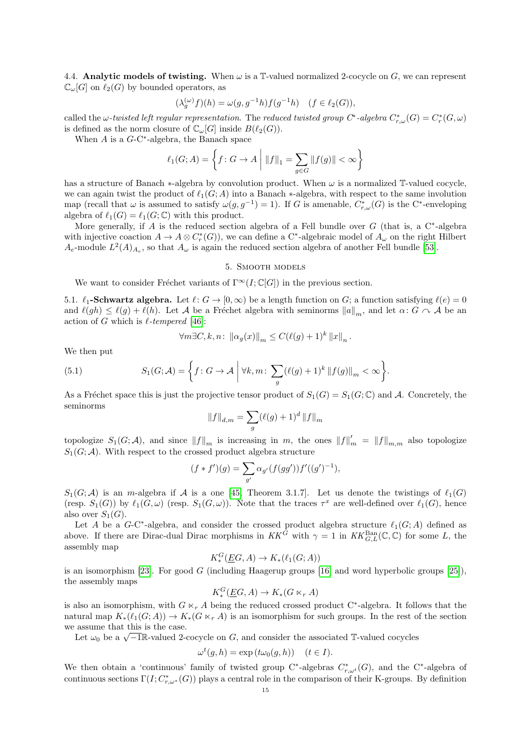4.4. Analytic models of twisting. When  $\omega$  is a T-valued normalized 2-cocycle on  $G$ , we can represent  $\mathbb{C}_{\omega}[G]$  on  $\ell_2(G)$  by bounded operators, as

$$
(\lambda_g^{(\omega)}f)(h) = \omega(g, g^{-1}h)f(g^{-1}h) \quad (f \in \ell_2(G)),
$$

called the  $\omega$ -twisted left regular representation. The reduced twisted group  $C^*$ -algebra  $C^*_{r,\omega}(G) = C^*_r(G,\omega)$ is defined as the norm closure of  $\mathbb{C}_{\omega}[G]$  inside  $B(\ell_2(G))$ .

When  $A$  is a  $G$ -C<sup>\*</sup>-algebra, the Banach space

$$
\ell_1(G; A) = \left\{ f \colon G \to A \; \middle| \; \|f\|_1 = \sum_{g \in G} \|f(g)\| < \infty \right\}
$$

has a structure of Banach  $*$ -algebra by convolution product. When  $\omega$  is a normalized T-valued cocycle, we can again twist the product of  $\ell_1(G; A)$  into a Banach  $*$ -algebra, with respect to the same involution map (recall that  $\omega$  is assumed to satisfy  $\omega(g, g^{-1}) = 1$ ). If G is amenable,  $C^*_{r,\omega}(G)$  is the C<sup>\*</sup>-enveloping algebra of  $\ell_1(G) = \ell_1(G; \mathbb{C})$  with this product.

More generally, if A is the reduced section algebra of a Fell bundle over  $G$  (that is, a  $C^*$ -algebra with injective coaction  $A \to A \otimes C_r^*(G)$ , we can define a C<sup>\*</sup>-algebraic model of  $A_\omega$  on the right Hilbert  $A_e$ -module  $L^2(A)_{A_e}$ , so that  $A_\omega$  is again the reduced section algebra of another Fell bundle [\[53\]](#page-24-5).

## 5. Smooth models

<span id="page-14-0"></span>We want to consider Fréchet variants of  $\Gamma^{\infty}(I; \mathbb{C}[G])$  in the previous section.

5.1.  $\ell_1$ -Schwartz algebra. Let  $\ell : G \to [0, \infty)$  be a length function on G; a function satisfying  $\ell(e) = 0$ and  $\ell(gh) \leq \ell(g) + \ell(h)$ . Let A be a Fréchet algebra with seminorms  $||a||_m$ , and let  $\alpha: G \cap A$  be an action of G which is  $\ell$ -tempered [\[46\]](#page-24-10):

<span id="page-14-1"></span>
$$
\forall m \exists C, k, n: \|\alpha_g(x)\|_m \le C(\ell(g) + 1)^k \|x\|_n.
$$

We then put

(5.1) 
$$
S_1(G; \mathcal{A}) = \left\{ f : G \to \mathcal{A} \mid \forall k, m : \sum_g (\ell(g) + 1)^k \| f(g) \|_m < \infty \right\}.
$$

As a Fréchet space this is just the projective tensor product of  $S_1(G) = S_1(G; \mathbb{C})$  and A. Concretely, the seminorms

$$
||f||_{d,m} = \sum_{g} (\ell(g) + 1)^d ||f||_m
$$

topologize  $S_1(G; \mathcal{A})$ , and since  $||f||_m$  is increasing in m, the ones  $||f||'_m = ||f||_{m,m}$  also topologize  $S_1(G; \mathcal{A})$ . With respect to the crossed product algebra structure

$$
(f * f')(g) = \sum_{g'} \alpha_{g'}(f(gg'))f'((g')^{-1}),
$$

 $S_1(G; \mathcal{A})$  is an m-algebra if  $\mathcal A$  is a one [\[45,](#page-24-11) Theorem 3.1.7]. Let us denote the twistings of  $\ell_1(G)$ (resp.  $S_1(G)$ ) by  $\ell_1(G, \omega)$  (resp.  $S_1(G, \omega)$ ). Note that the traces  $\tau^x$  are well-defined over  $\ell_1(G)$ , hence also over  $S_1(G)$ .

Let A be a G-C<sup>\*</sup>-algebra, and consider the crossed product algebra structure  $\ell_1(G; A)$  defined as above. If there are Dirac-dual Dirac morphisms in  $KK^G$  with  $\gamma = 1$  in  $KK_{G,L}^{\text{Ban}}(\mathbb{C}, \mathbb{C})$  for some L, the assembly map

$$
K^G_*(\underline{E}G, A) \to K_*(\ell_1(G; A))
$$

is an isomorphism [\[23\]](#page-23-18). For good G (including Haagerup groups [\[16\]](#page-23-19) and word hyperbolic groups [\[25\]](#page-23-20)), the assembly maps

$$
K_*^G(\underline{E}G, A) \to K_*(G \ltimes_r A)
$$

is also an isomorphism, with  $G \ltimes_r A$  being the reduced crossed product C<sup>∗</sup>-algebra. It follows that the natural map  $K_*(\ell_1(G; A)) \to K_*(G \ltimes_r A)$  is an isomorphism for such groups. In the rest of the section we assume that this is the case.

assume that this is the case.<br>Let  $\omega_0$  be a  $\sqrt{-1}\mathbb{R}$ -valued 2-cocycle on G, and consider the associated T-valued cocycles

$$
\omega^t(g, h) = \exp(t\omega_0(g, h)) \quad (t \in I).
$$

We then obtain a 'continuous' family of twisted group C<sup>∗</sup>-algebras  $C^*_{r,\omega^t}(G)$ , and the C<sup>∗</sup>-algebra of continuous sections  $\Gamma(I; C^*_{r,\omega^*}(G))$  plays a central role in the comparison of their K-groups. By definition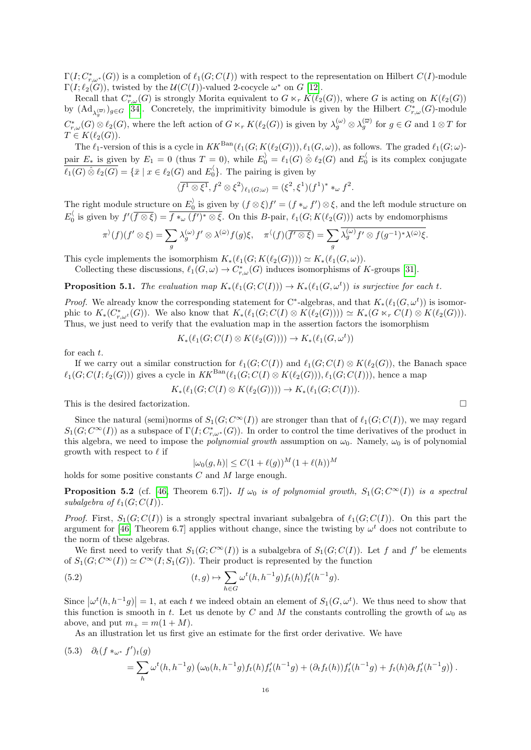$\Gamma(I; C^*_{r,\omega^*}(G))$  is a completion of  $\ell_1(G; C(I))$  with respect to the representation on Hilbert  $C(I)$ -module  $\Gamma(I; \ell_2(G))$ , twisted by the  $\mathcal{U}(C(I))$ -valued 2-cocycle  $\omega^*$  on G [\[12\]](#page-23-6).

Recall that  $C^*_{r,\omega}(G)$  is strongly Morita equivalent to  $G \ltimes_r K(\ell_2(G))$ , where G is acting on  $K(\ell_2(G))$ by  $(\mathrm{Ad}_{\lambda_q^{(\overline{\omega})}})_{g\in G}$  [\[34\]](#page-23-21). Concretely, the imprimitivity bimodule is given by the Hilbert  $C^*_{r,\omega}(G)$ -module g  $C^*_{r,\omega}(G) \otimes \ell_2(G)$ , where the left action of  $G \ltimes_r K(\ell_2(G))$  is given by  $\lambda_g^{(\omega)} \otimes \lambda_g^{(\overline{\omega})}$  for  $g \in G$  and  $1 \otimes T$  for  $T \in K(\ell_2(G)).$ 

The  $\ell_1$ -version of this is a cycle in  $KK^{\text{Ban}}(\ell_1(G; K(\ell_2(G))), \ell_1(G, \omega))$ , as follows. The graded  $\ell_1(G; \omega)$ pair  $E_*$  is given by  $E_1 = 0$  (thus  $T = 0$ ), while  $E_0' = \ell_1(G) \otimes \ell_2(G)$  and  $E_0'$  is its complex conjugate  $\overline{\ell_1(G) \otimes \ell_2(G)} = {\overline{x} \mid x \in \ell_2(G) \text{ and } E_0}$ . The pairing is given by

$$
\langle f^1 \otimes \xi^1, f^2 \otimes \xi^2 \rangle_{\ell_1(G; \omega)} = (\xi^2, \xi^1)(f^1)^* *_{\omega} f^2.
$$

The right module structure on  $E_0^{\rangle}$  is given by  $(f \otimes \xi)f' = (f *_{\omega} f') \otimes \xi$ , and the left module structure on  $E_0^{\langle}$  is given by  $f'(\overline{f\otimes \xi}) = \overline{f\ast_{\omega}(f')^*\otimes \xi}$ . On this B-pair,  $\ell_1(G; K(\ell_2(G)))$  acts by endomorphisms

$$
\pi^{\lambda}(f)(f' \otimes \xi) = \sum_{g} \lambda_g^{(\omega)} f' \otimes \lambda^{(\overline{\omega})} f(g) \xi, \quad \pi^{\langle} (f)(\overline{f' \otimes \xi}) = \sum_{g} \overline{\lambda_g^{(\omega)} f' \otimes f(g^{-1})^* \lambda^{(\overline{\omega})} \xi}.
$$

This cycle implements the isomorphism  $K_*(\ell_1(G; K(\ell_2(G)))) \simeq K_*(\ell_1(G, \omega)).$ 

Collecting these discussions,  $\ell_1(G, \omega) \to C^*_{r,\omega}(G)$  induces isomorphisms of K-groups [\[31\]](#page-23-4).

<span id="page-15-0"></span>**Proposition 5.1.** The evaluation map  $K_*(\ell_1(G; C(I))) \to K_*(\ell_1(G, \omega^t))$  is surjective for each t.

*Proof.* We already know the corresponding statement for C<sup>∗</sup>-algebras, and that  $K_*(\ell_1(G, \omega^t))$  is isomorphic to  $K_*(C^*_{r,\omega^t}(G))$ . We also know that  $K_*(\ell_1(G; C(I) \otimes K(\ell_2(G)))) \simeq K_*(G \ltimes_r C(I) \otimes K(\ell_2(G)))$ . Thus, we just need to verify that the evaluation map in the assertion factors the isomorphism

$$
K_*(\ell_1(G; C(I) \otimes K(\ell_2(G)))) \to K_*(\ell_1(G, \omega^t))
$$

for each t.

If we carry out a similar construction for  $\ell_1(G; C(I))$  and  $\ell_1(G; C(I) \otimes K(\ell_2(G))$ , the Banach space  $\ell_1(G; C(I; \ell_2(G)))$  gives a cycle in  $KK^{\text{Ban}}(\ell_1(G; C(I) \otimes K(\ell_2(G))), \ell_1(G; C(I))),$  hence a map

$$
K_* (\ell_1(G; C(I) \otimes K(\ell_2(G)))) \to K_* (\ell_1(G; C(I))).
$$

This is the desired factorization.  $\Box$ 

Since the natural (semi)norms of  $S_1(G; C^{\infty}(I))$  are stronger than that of  $\ell_1(G; C(I))$ , we may regard  $S_1(G; C^{\infty}(I))$  as a subspace of  $\Gamma(I; C^*_{r,\omega^*}(G))$ . In order to control the time derivatives of the product in this algebra, we need to impose the *polynomial growth* assumption on  $\omega_0$ . Namely,  $\omega_0$  is of polynomial growth with respect to  $\ell$  if

<span id="page-15-2"></span>
$$
|\omega_0(g, h)| \le C(1 + \ell(g))^M (1 + \ell(h))^M
$$

holds for some positive constants C and M large enough.

<span id="page-15-1"></span>**Proposition 5.2** (cf. [\[46,](#page-24-10) Theorem 6.7]). If  $\omega_0$  is of polynomial growth,  $S_1(G; C^{\infty}(I))$  is a spectral subalgebra of  $\ell_1(G; C(I))$ .

*Proof.* First,  $S_1(G; C(I))$  is a strongly spectral invariant subalgebra of  $\ell_1(G; C(I))$ . On this part the argument for [\[46,](#page-24-10) Theorem 6.7] applies without change, since the twisting by  $\omega^t$  does not contribute to the norm of these algebras.

We first need to verify that  $S_1(G; C^{\infty}(I))$  is a subalgebra of  $S_1(G; C(I))$ . Let f and f' be elements of  $S_1(G; C^{\infty}(I)) \simeq C^{\infty}(I; S_1(G))$ . Their product is represented by the function

(5.2) 
$$
(t,g) \mapsto \sum_{h \in G} \omega^t(h, h^{-1}g) f_t(h) f'_t(h^{-1}g).
$$

Since  $|\omega^t(h, h^{-1}g)| = 1$ , at each t we indeed obtain an element of  $S_1(G, \omega^t)$ . We thus need to show that this function is smooth in t. Let us denote by C and M the constants controlling the growth of  $\omega_0$  as above, and put  $m_+ = m(1 + M)$ .

As an illustration let us first give an estimate for the first order derivative. We have

<span id="page-15-3"></span>
$$
(5.3) \quad \partial_t (f *_{\omega^*} f')_t(g) = \sum_h \omega^t(h, h^{-1}g) \left( \omega_0(h, h^{-1}g) f_t(h) f'_t(h^{-1}g) + (\partial_t f_t(h)) f'_t(h^{-1}g) + f_t(h) \partial_t f'_t(h^{-1}g) \right).
$$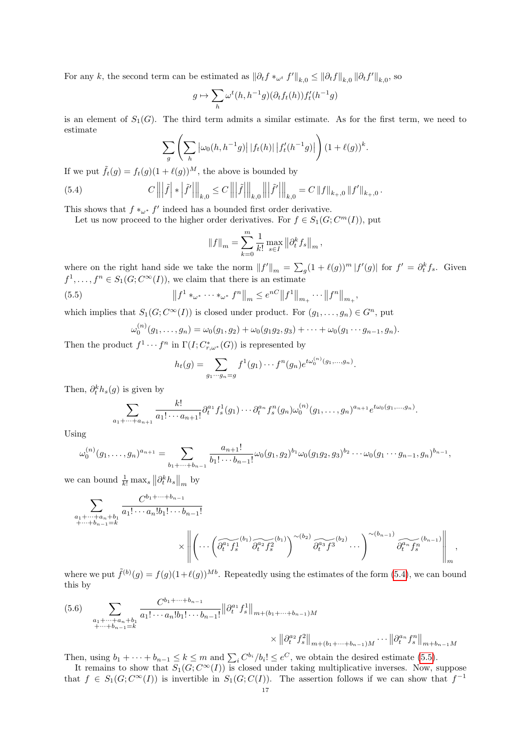For any k, the second term can be estimated as  $\|\partial_t f *_{\omega^t} f'\|_{k,0} \leq \|\partial_t f\|_{k,0} \|\partial_t f'\|_{k,0}$ , so

$$
g\mapsto \sum_h \omega^t(h,h^{-1}g)(\partial_t f_t(h))f'_t(h^{-1}g)
$$

is an element of  $S_1(G)$ . The third term admits a similar estimate. As for the first term, we need to estimate

<span id="page-16-0"></span>
$$
\sum_{g} \left( \sum_{h} \left| \omega_0(h, h^{-1}g) \right| |f_t(h)| \left| f'_t(h^{-1}g) \right| \right) (1 + \ell(g))^k.
$$

If we put  $\tilde{f}_t(q) = f_t(q)(1 + \ell(q))^M$ , the above is bounded by

(5.4) 
$$
C \left\| \left| \tilde{f} \right| * \left| \tilde{f}' \right| \right\|_{k,0} \leq C \left\| \left| \tilde{f} \right| \right\|_{k,0} \left\| \left| \tilde{f}' \right| \right\|_{k,0} = C \left\| f \right\|_{k,0} \left\| f' \right\|_{k,0}.
$$

This shows that  $f *_{\omega^*} f'$  indeed has a bounded first order derivative.

Let us now proceed to the higher order derivatives. For  $f \in S_1(G; C^m(I))$ , put

$$
||f||_m = \sum_{k=0}^m \frac{1}{k!} \max_{s \in I} ||\partial_t^k f_s||_m,
$$

where on the right hand side we take the norm  $||f'||_m = \sum_g (1 + \ell(g))^m |f'(g)|$  for  $f' = \partial_t^k f_s$ . Given  $f^1, \ldots, f^n \in S_1(G; C^{\infty}(I)),$  we claim that there is an estimate

(5.5) 
$$
\|f^1 *_{\omega^*} \cdots *_{\omega^*} f^n\|_m \leq e^{nC} \|f^1\|_{m_+} \cdots \|f^n\|_{m_+},
$$

which implies that  $S_1(G; C^{\infty}(I))$  is closed under product. For  $(g_1, \ldots, g_n) \in G^n$ , put

<span id="page-16-1"></span>
$$
\omega_0^{(n)}(g_1,\ldots,g_n)=\omega_0(g_1,g_2)+\omega_0(g_1g_2,g_3)+\cdots+\omega_0(g_1\cdots g_{n-1},g_n).
$$

Then the product  $f^1 \cdots f^n$  in  $\Gamma(I; C^*_{r,\omega^*}(G))$  is represented by

$$
h_t(g) = \sum_{g_1 \cdots g_n = g} f^1(g_1) \cdots f^n(g_n) e^{t\omega_0^{(n)}(g_1, \ldots, g_n)}.
$$

Then,  $\partial_t^k h_s(g)$  is given by

$$
\sum_{a_1+\cdots+a_{n+1}}\frac{k!}{a_1!\cdots a_{n+1}!}\partial_t^{a_1}f_s^1(g_1)\cdots\partial_t^{a_n}f_s^n(g_n)\omega_0^{(n)}(g_1,\ldots,g_n)^{a_{n+1}}e^{t\omega_0(g_1,\ldots,g_n)}.
$$

Using

$$
\omega_0^{(n)}(g_1,\ldots,g_n)^{a_{n+1}}=\sum_{b_1+\cdots+b_{n-1}}\frac{a_{n+1}!}{b_1!\cdots b_{n-1}!}\omega_0(g_1,g_2)^{b_1}\omega_0(g_1g_2,g_3)^{b_2}\cdots\omega_0(g_1\cdots g_{n-1},g_n)^{b_{n-1}},
$$

we can bound  $\frac{1}{k!} \max_s \left\| \partial_t^k h_s \right\|_m$  by

$$
\sum_{\substack{a_1+\cdots+a_n+b_1\\+\cdots+b_{n-1}=k}} \frac{C^{b_1+\cdots+b_{n-1}}}{a_1!\cdots a_n!b_1!\cdots b_{n-1}!} \times \left\| \left(\cdots \left(\widetilde{\partial_t^{a_1} f_s^{1}}^{(b_1)} \widetilde{\partial_t^{a_2} f_s^{2}}^{(b_1)}\right)^{\sim(b_2)} \widetilde{\partial_t^{a_3} f_3}^{(b_2)} \cdots \right)^{\sim(b_{n-1})} \widetilde{\partial_t^{a_n} f_s^{n}}^{(b_{n-1})} \right\|_{m},
$$

where we put  $\tilde{f}^{(b)}(g) = f(g)(1+\ell(g))^{Mb}$ . Repeatedly using the estimates of the form [\(5.4\)](#page-16-0), we can bound this by

$$
(5.6) \sum_{\substack{a_1 + \dots + a_n + b_1 \\ + \dots + b_{n-1} = k}} \frac{C^{b_1 + \dots + b_{n-1}}}{a_1! \dots a_n! b_1! \dots b_{n-1}!} ||\partial_t^{a_1} f_s||_{m + (b_1 + \dots + b_{n-1})M} \\
\times ||\partial_t^{a_2} f_s^2||_{m + (b_1 + \dots + b_{n-1})M} \dots ||\partial_t^{a_n} f_s^n||_{m + b_{n-1}M}
$$

Then, using  $b_1 + \cdots + b_{n-1} \le k \le m$  and  $\sum_i C^{b_i} / b_i! \le e^C$ , we obtain the desired estimate [\(5.5\)](#page-16-1).

It remains to show that  $S_1(G; C^{\infty}(I))$  is closed under taking multiplicative inverses. Now, suppose that  $f \in S_1(G; C^{\infty}(I))$  is invertible in  $S_1(G; C(I))$ . The assertion follows if we can show that  $f^{-1}$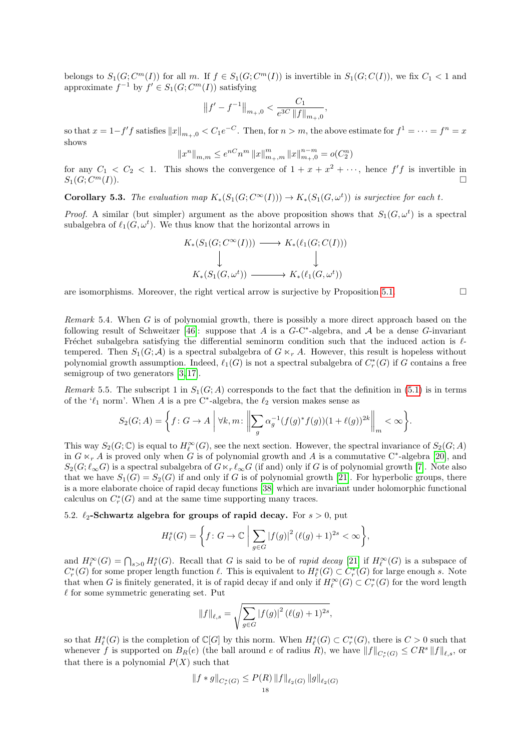belongs to  $S_1(G; C^m(I))$  for all m. If  $f \in S_1(G; C^m(I))$  is invertible in  $S_1(G; C(I))$ , we fix  $C_1 < 1$  and approximate  $f^{-1}$  by  $f' \in S_1(G; C^m(I))$  satisfying

$$
\left\|f'-f^{-1}\right\|_{m_+,0} < \frac{C_1}{e^{3C}\left\|f\right\|_{m_+,0}},
$$

so that  $x = 1-f'f$  satisfies  $||x||_{m_+,0} < C_1e^{-C}$ . Then, for  $n > m$ , the above estimate for  $f^1 = \cdots = f^n = x$ shows

$$
\|x^n\|_{m,m}\leq e^{nC}n^m\,\|x\|_{m_+,m}^m\,\|x\|_{m_+,0}^{n-m}=o(C_2^n)
$$

for any  $C_1 < C_2 < 1$ . This shows the convergence of  $1 + x + x^2 + \cdots$ , hence  $f'f$  is invertible in  $S_1(G; C^m(I)).$  $\Box^{m}(I)$ ).

**Corollary 5.3.** The evaluation map  $K_*(S_1(G; C^{\infty}(I))) \to K_*(S_1(G, \omega^t))$  is surjective for each t.

*Proof.* A similar (but simpler) argument as the above proposition shows that  $S_1(G, \omega^t)$  is a spectral subalgebra of  $\ell_1(G, \omega^t)$ . We thus know that the horizontal arrows in

$$
K_*(S_1(G; C^{\infty}(I))) \longrightarrow K_*(\ell_1(G; C(I)))
$$
  
\n
$$
\downarrow \qquad \qquad \downarrow
$$
  
\n
$$
K_*(S_1(G, \omega^t)) \longrightarrow K_*(\ell_1(G, \omega^t))
$$

are isomorphisms. Moreover, the right vertical arrow is surjective by Proposition [5.1.](#page-15-0)  $\Box$ 

Remark 5.4. When G is of polynomial growth, there is possibly a more direct approach based on the following result of Schweitzer [\[46\]](#page-24-10): suppose that A is a  $G$ -C<sup>\*</sup>-algebra, and A be a dense G-invariant Fréchet subalgebra satisfying the differential seminorm condition such that the induced action is  $\ell$ tempered. Then  $S_1(G; \mathcal{A})$  is a spectral subalgebra of  $G \ltimes_r A$ . However, this result is hopeless without polynomial growth assumption. Indeed,  $\ell_1(G)$  is not a spectral subalgebra of  $C_r^*(G)$  if G contains a free semigroup of two generators [\[3,](#page-22-5) [17\]](#page-23-22).

Remark 5.5. The subscript 1 in  $S_1(G; A)$  corresponds to the fact that the definition in [\(5.1\)](#page-14-1) is in terms of the ' $\ell_1$  norm'. When A is a pre C<sup>\*</sup>-algebra, the  $\ell_2$  version makes sense as

$$
S_2(G;A) = \left\{ f: G \to A \mid \forall k, m: \left\| \sum_g \alpha_g^{-1}(f(g)^* f(g))(1 + \ell(g))^{2k} \right\|_m < \infty \right\}.
$$

This way  $S_2(G; \mathbb{C})$  is equal to  $H^{\infty}_{\ell}(G)$ , see the next section. However, the spectral invariance of  $S_2(G; A)$ in  $G \ltimes_r A$  is proved only when G is of polynomial growth and A is a commutative C<sup>∗</sup>-algebra [\[20\]](#page-23-23), and  $S_2(G; \ell_\infty G)$  is a spectral subalgebra of  $G \ltimes_r \ell_\infty G$  (if and) only if G is of polynomial growth [\[7\]](#page-22-6). Note also that we have  $S_1(G) = S_2(G)$  if and only if G is of polynomial growth [\[21\]](#page-23-24). For hyperbolic groups, there is a more elaborate choice of rapid decay functions [\[38\]](#page-23-25) which are invariant under holomorphic functional calculus on  $C_r^*(G)$  and at the same time supporting many traces.

## 5.2.  $\ell_2$ -Schwartz algebra for groups of rapid decay. For  $s > 0$ , put

$$
H_{\ell}^{s}(G) = \left\{ f: G \to \mathbb{C} \; \middle| \; \sum_{g \in G} |f(g)|^{2} \left( \ell(g) + 1 \right)^{2s} < \infty \right\},
$$

and  $H^{\infty}_{\ell}(G) = \bigcap_{s>0} H^s_{\ell}(G)$ . Recall that G is said to be of *rapid decay* [\[21\]](#page-23-24) if  $H^{\infty}_{\ell}(G)$  is a subspace of  $C_r^*(G)$  for some proper length function  $\ell$ . This is equivalent to  $H_\ell^s(G) \subset C_r^*(G)$  for large enough s. Note that when G is finitely generated, it is of rapid decay if and only if  $H^{\infty}_{\ell}(G) \subset C^*_{r}(G)$  for the word length  $\ell$  for some symmetric generating set. Put

$$
||f||_{\ell,s} = \sqrt{\sum_{g \in G} |f(g)|^2 (\ell(g) + 1)^{2s}},
$$

so that  $H^s_{\ell}(G)$  is the completion of  $\mathbb{C}[G]$  by this norm. When  $H^s_{\ell}(G) \subset C^*_r(G)$ , there is  $C > 0$  such that whenever f is supported on  $B_R(e)$  (the ball around e of radius R), we have  $||f||_{C_r^*(G)} \leq CR^s ||f||_{\ell,s}$ , or that there is a polynomial  $P(X)$  such that

$$
||f * g||_{C_r^*(G)} \le P(R) ||f||_{\ell_2(G)} ||g||_{\ell_2(G)}
$$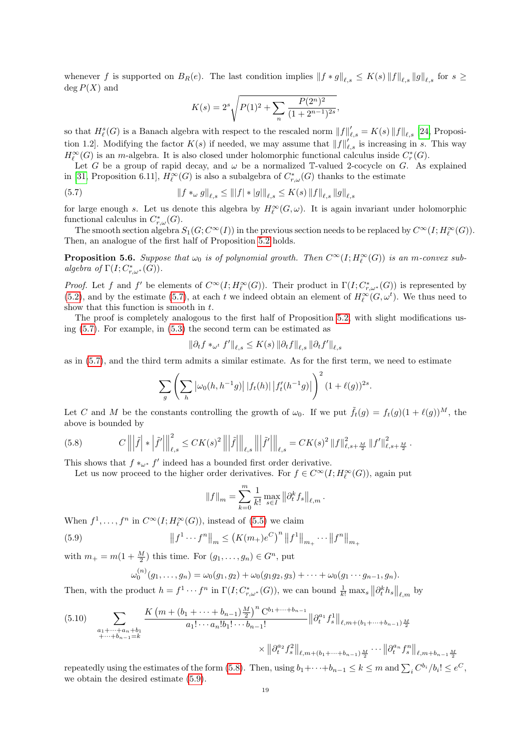whenever f is supported on  $B_R(e)$ . The last condition implies  $||f * g||_{\ell,s} \leq K(s) ||f||_{\ell,s} ||g||_{\ell,s}$  for  $s \geq$  $deg P(X)$  and

<span id="page-18-0"></span>
$$
K(s) = 2^{s} \sqrt{P(1)^{2} + \sum_{n} \frac{P(2^{n})^{2}}{(1 + 2^{n-1})^{2s}}},
$$

so that  $H_{\ell}^{s}(G)$  is a Banach algebra with respect to the rescaled norm  $||f||'_{\ell,s} = K(s) ||f||_{\ell,s}$  [\[24,](#page-23-26) Proposition 1.2. Modifying the factor  $K(s)$  if needed, we may assume that  $||f||'_{\ell,s}$  is increasing in s. This way  $H_{\ell}^{\infty}(G)$  is an m-algebra. It is also closed under holomorphic functional calculus inside  $C_r^*(G)$ .

Let G be a group of rapid decay, and  $\omega$  be a normalized T-valued 2-cocycle on G. As explained in [\[31,](#page-23-4) Proposition 6.11],  $H^{\infty}_{\ell}(G)$  is also a subalgebra of  $C^*_{r,\omega}(G)$  thanks to the estimate

(5.7) 
$$
\|f *_{\omega} g\|_{\ell,s} \le \| |f| * |g| \|_{\ell,s} \le K(s) \|f\|_{\ell,s} \|g\|_{\ell,s}
$$

for large enough s. Let us denote this algebra by  $H_{\ell}^{\infty}(G, \omega)$ . It is again invariant under holomorphic functional calculus in  $C^*_{r,\omega}(G)$ .

The smooth section algebra  $S_1(G; C^{\infty}(I))$  in the previous section needs to be replaced by  $C^{\infty}(I; H^{\infty}_\ell(G))$ . Then, an analogue of the first half of Proposition [5.2](#page-15-1) holds.

<span id="page-18-3"></span>**Proposition 5.6.** Suppose that  $\omega_0$  is of polynomial growth. Then  $C^{\infty}(I; H^{\infty}_{\ell}(G))$  is an m-convex subalgebra of  $\Gamma(I; C^*_{r,\omega^*}(G)).$ 

*Proof.* Let f and f' be elements of  $C^{\infty}(I; H^{\infty}_{\ell}(G))$ . Their product in  $\Gamma(I; C^*_{r,\omega^*}(G))$  is represented by [\(5.2\)](#page-15-2), and by the estimate [\(5.7\)](#page-18-0), at each t we indeed obtain an element of  $H^{\infty}_\ell(G, \omega^t)$ . We thus need to show that this function is smooth in t.

The proof is completely analogous to the first half of Proposition [5.2,](#page-15-1) with slight modifications using [\(5.7\)](#page-18-0). For example, in [\(5.3\)](#page-15-3) the second term can be estimated as

$$
\|\partial_t f *_{\omega^t} f'\|_{\ell,s} \leq K(s) \|\partial_t f\|_{\ell,s} \|\partial_t f'\|_{\ell,s}
$$

as in [\(5.7\)](#page-18-0), and the third term admits a similar estimate. As for the first term, we need to estimate

$$
\sum_{g} \left( \sum_{h} \left| \omega_0(h, h^{-1}g) \right| |f_t(h)| \left| f'_t(h^{-1}g) \right| \right)^2 (1 + \ell(g))^{2s}
$$

.

Let C and M be the constants controlling the growth of  $\omega_0$ . If we put  $\tilde{f}_t(g) = f_t(g)(1 + \ell(g))^M$ , the above is bounded by

<span id="page-18-1"></span>
$$
(5.8) \t C \left\| \left| \tilde{f} \right| * \left| \tilde{f}' \right| \right\|_{\ell,s}^{2} \leq C K(s)^{2} \left\| \left| \tilde{f} \right| \right\|_{\ell,s} \left\| \left| \tilde{f}' \right| \right\|_{\ell,s} = C K(s)^{2} \left\| f \right\|_{\ell,s+\frac{M}{2}}^{2} \left\| f' \right\|_{\ell,s+\frac{M}{2}}^{2}.
$$

This shows that  $f *_{\omega^*} f'$  indeed has a bounded first order derivative.

Let us now proceed to the higher order derivatives. For  $f \in C^{\infty}(I; H^{\infty}_{\ell}(G))$ , again put

$$
||f||_{m} = \sum_{k=0}^{m} \frac{1}{k!} \max_{s \in I} ||\partial_t^k f_s||_{\ell,m}.
$$

When  $f^1, \ldots, f^n$  in  $C^{\infty}(I; H^{\infty}_{\ell}(G))$ , instead of [\(5.5\)](#page-16-1) we claim

(5.9) 
$$
\|f^1 \cdots f^n\|_m \le (K(m_+e^C)^n \|f^1\|_{m_+} \cdots \|f^n\|_{m_+}
$$

with  $m_+ = m(1 + \frac{M}{2})$  this time. For  $(g_1, \ldots, g_n) \in G^n$ , put

<span id="page-18-2"></span>
$$
\omega_0^{(n)}(g_1,\ldots,g_n) = \omega_0(g_1,g_2) + \omega_0(g_1g_2,g_3) + \cdots + \omega_0(g_1\cdots g_{n-1},g_n).
$$

Then, with the product  $h = f^1 \cdots f^n$  in  $\Gamma(I; C^*_{r,\omega^*}(G))$ , we can bound  $\frac{1}{k!} \max_s \left\| \partial_t^k h_s \right\|_{\ell,m}$  by

<span id="page-18-4"></span>
$$
(5.10) \sum_{\substack{a_1 + \dots + a_n + b_1 \\ + \dots + b_{n-1} = k}} \frac{K (m + (b_1 + \dots + b_{n-1}) \frac{M}{2})^n C^{b_1 + \dots + b_{n-1}}}{a_1! \cdots a_n! b_1! \cdots b_{n-1}!} ||\partial_t^{a_1} f_s^1||_{\ell, m + (b_1 + \dots + b_{n-1}) \frac{M}{2}}
$$

$$
\times ||\partial_t^{a_2} f_s^2||_{\ell, m + (b_1 + \dots + b_{n-1}) \frac{M}{2}} \cdots ||\partial_t^{a_n} f_s^n||_{\ell, m + b_{n-1} \frac{M}{2}}
$$

repeatedly using the estimates of the form [\(5.8\)](#page-18-1). Then, using  $b_1 + \cdots + b_{n-1} \le k \le m$  and  $\sum_i C^{b_i} / b_i! \le e^C$ , we obtain the desired estimate [\(5.9\)](#page-18-2).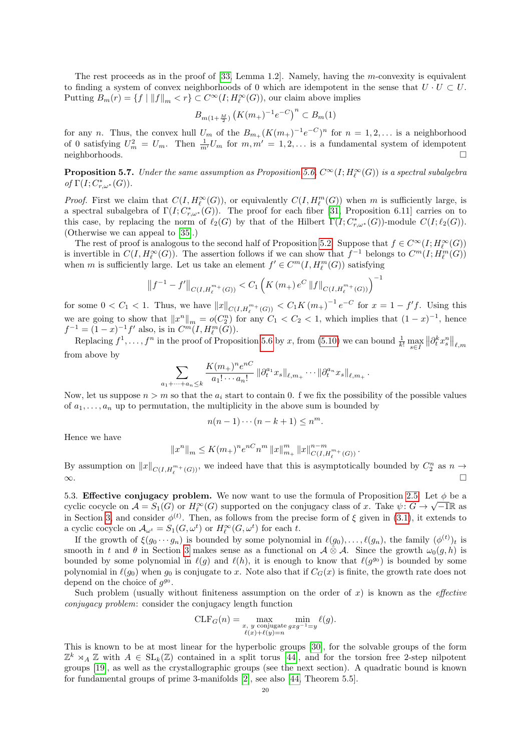The rest proceeds as in the proof of  $[33, \text{ Lemma } 1.2]$ . Namely, having the m-convexity is equivalent to finding a system of convex neighborhoods of 0 which are idempotent in the sense that  $U \cdot U \subset U$ . Putting  $B_m(r) = \{f \mid ||f||_m < r\} \subset C^{\infty}(I; H^{\infty}_{\ell}(G))$ , our claim above implies

$$
B_{m(1+\frac{M}{2})}\left(K(m_+)^{-1}e^{-C}\right)^n \subset B_m(1)
$$

for any *n*. Thus, the convex hull  $U_m$  of the  $B_{m_+}(K(m_+)^{-1}e^{-C})^n$  for  $n = 1, 2, \ldots$  is a neighborhood of 0 satisfying  $U_m^2 = U_m$ . Then  $\frac{1}{m'}U_m$  for  $m, m' = 1, 2, \ldots$  is a fundamental system of idempotent  $\Box$  neighborhoods.

**Proposition 5.7.** Under the same assumption as Proposition [5.6,](#page-18-3)  $C^{\infty}(I; H^{\infty}_{\ell}(G))$  is a spectral subalgebra of  $\Gamma(I; C^*_{r,\omega^*}(G)).$ 

*Proof.* First we claim that  $C(I, H^{\infty}_{\ell}(G))$ , or equivalently  $C(I, H^{m}_{\ell}(G))$  when m is sufficiently large, is a spectral subalgebra of  $\Gamma(I; C^*_{r,\omega^*}(G))$ . The proof for each fiber [\[31,](#page-23-4) Proposition 6.11] carries on to this case, by replacing the norm of  $\ell_2(G)$  by that of the Hilbert  $\Gamma(I; C^*_{r,\omega^*}(G))$ -module  $C(I; \ell_2(G))$ . (Otherwise we can appeal to [\[35\]](#page-23-28).)

The rest of proof is analogous to the second half of Proposition [5.2.](#page-15-1) Suppose that  $f \in C^{\infty}(I; H^{\infty}_{\ell}(G))$ is invertible in  $C(I, H^{\infty}_{\ell}(G))$ . The assertion follows if we can show that  $f^{-1}$  belongs to  $C^{m}(I; H^{m}_{\ell}(G))$ when m is sufficiently large. Let us take an element  $f' \in C<sup>m</sup>(I, H<sub>\ell</sub><sup>m</sup>(G))$  satisfying

$$
\left\|f^{-1} - f'\right\|_{C(I, H_{\ell}^{m_+}(G))} < C_1 \left(K(m_+) e^C \left\|f\right\|_{C(I, H_{\ell}^{m_+}(G))}\right)^{-1}
$$

for some  $0 < C_1 < 1$ . Thus, we have  $||x||_{C(I, H_{\ell}^{m_+}(G))} < C_1 K (m_+)^{-1} e^{-C}$  for  $x = 1 - f'f$ . Using this we are going to show that  $||x^n||_m = o(C_2^n)$  for any  $C_1 < C_2 < 1$ , which implies that  $(1-x)^{-1}$ , hence  $f^{-1} = (1 - x)^{-1} f'$  also, is in  $C^m(I, H_{\ell}^m(G)).$ 

Replacing  $f^1, \ldots, f^n$  in the proof of Proposition [5.6](#page-18-3) by x, from [\(5.10\)](#page-18-4) we can bound  $\frac{1}{k!} \max_{s \in I} \| \partial_t^k x_s^n \|_{\ell,m}$ from above by

$$
\sum_{a_1+\cdots+a_n\leq k}\frac{K(m_+)^ne^{nC}}{a_1!\cdots a_n!}\left\|\partial_t^{a_1}x_s\right\|_{\ell,m_+}\cdots\left\|\partial_t^{a_n}x_s\right\|_{\ell,m_+}.
$$

Now, let us suppose  $n > m$  so that the  $a_i$  start to contain 0. f we fix the possibility of the possible values of  $a_1, \ldots, a_n$  up to permutation, the multiplicity in the above sum is bounded by

$$
n(n-1)\cdots(n-k+1) \le n^m.
$$

Hence we have

$$
||x^n||_m \le K(m_+)^n e^{nC} n^m ||x||_{m_+}^m ||x||_{C(I, H_{\ell}^{m_+}(G))}^{n-m}.
$$

By assumption on  $||x||_{C(I,H^{m_+}_\ell(G))}$ , we indeed have that this is asymptotically bounded by  $C_2^n$  as  $n \to \infty$ ∞.

5.3. Effective conjugacy problem. We now want to use the formula of Proposition [2.5.](#page-10-3) Let  $\phi$  be a cyclic cocycle on  $\mathcal{A} = S_1(G)$  or  $H_{\ell}^{\infty}(G)$  supported on the conjugacy class of x. Take  $\psi: G \to \sqrt{-1}\mathbb{R}$  as in Section [3,](#page-10-0) and consider  $\phi^{(t)}$ . Then, as follows from the precise form of  $\xi$  given in [\(3.1\)](#page-10-1), it extends to a cyclic cocycle on  $\mathcal{A}_{\omega^t} = S_1(G, \omega^t)$  or  $H^\infty_{\ell}(G, \omega^t)$  for each t.

If the growth of  $\xi(g_0 \cdots g_n)$  is bounded by some polynomial in  $\ell(g_0), \ldots, \ell(g_n)$ , the family  $(\phi^{(t)})_t$  is smooth in t and  $\theta$  in Section [3](#page-10-0) makes sense as a functional on  $\mathcal{A} \otimes \mathcal{A}$ . Since the growth  $\omega_0(q, h)$  is bounded by some polynomial in  $\ell(g)$  and  $\ell(h)$ , it is enough to know that  $\ell(g^{g_0})$  is bounded by some polynomial in  $\ell(g_0)$  when  $g_0$  is conjugate to x. Note also that if  $C_G(x)$  is finite, the growth rate does not depend on the choice of  $g^{g_0}$ .

Such problem (usually without finiteness assumption on the order of x) is known as the *effective* conjugacy problem: consider the conjugacy length function

$$
\mathrm{CLF}_G(n) = \max_{\substack{x, y \text{ conjugate } gxg^{-1}=y}} \min_{\substack{\ell(g).}} \ell(g).
$$

This is known to be at most linear for the hyperbolic groups [\[30\]](#page-23-29), for the solvable groups of the form  $\mathbb{Z}^k$   $\rtimes_A \mathbb{Z}$  with  $A \in SL_k(\mathbb{Z})$  contained in a split torus [\[44\]](#page-24-12), and for the torsion free 2-step nilpotent groups [\[19\]](#page-23-30), as well as the crystallographic groups (see the next section). A quadratic bound is known for fundamental groups of prime 3-manifolds [\[2\]](#page-22-7), see also [\[44,](#page-24-12) Theorem 5.5].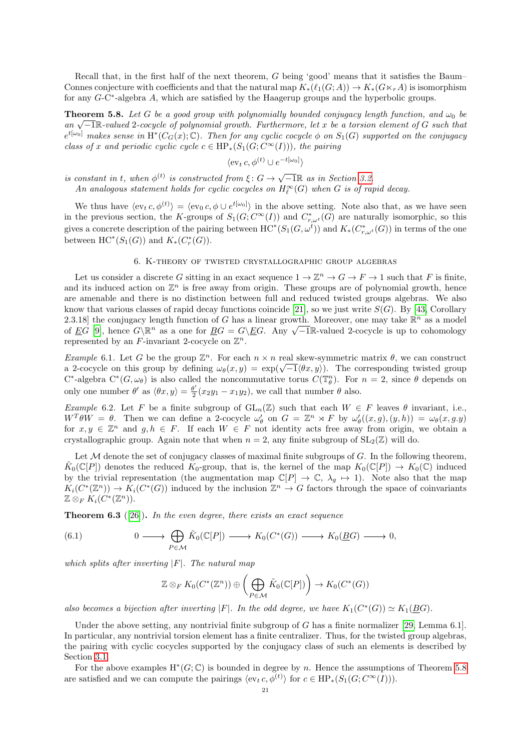Recall that, in the first half of the next theorem, G being 'good' means that it satisfies the Baum– Connes conjecture with coefficients and that the natural map  $K_*(\ell_1(G; A)) \to K_*(G \ltimes_r A)$  is isomorphism for any G-C<sup>\*</sup>-algebra A, which are satisfied by the Haagerup groups and the hyperbolic groups.

<span id="page-20-1"></span>**Theorem 5.8.** Let G be a good group with polynomially bounded conjugacy length function, and  $\omega_0$  be **Theorem 3.8.** Let G be a good group with potgnomiatig bounded conjugacy tength function, and  $\omega_0$  be an  $\sqrt{-1}\mathbb{R}$ -valued 2-cocycle of polynomial growth. Furthermore, let x be a torsion element of G such that  $e^{t[\omega_0]}$  makes sense in  $\mathrm{H}^*(C_G(x);\mathbb{C})$ . Then for any cyclic cocycle  $\phi$  on  $S_1(G)$  supported on the conjugacy class of x and periodic cyclic cycle  $c \in \text{HP}_*(S_1(G; C^{\infty}(I)))$ , the pairing

$$
\langle \operatorname{ev}_t c, \phi^{(t)} \cup e^{-t[\omega_0]} \rangle
$$

is constant in t, when  $\phi^{(t)}$  is constructed from  $\xi: G \to \sqrt{-1}\mathbb{R}$  as in Section [3.2.](#page-12-2)

An analogous statement holds for cyclic cocycles on  $H^{\infty}_{\ell}(G)$  when G is of rapid decay.

We thus have  $\langle \operatorname{ev}_t c, \phi^{(t)} \rangle = \langle \operatorname{ev}_0 c, \phi \cup e^{t[\omega_0]} \rangle$  in the above setting. Note also that, as we have seen in the previous section, the K-groups of  $S_1(G; C^{\infty}(I))$  and  $C^*_{r,\omega^t}(G)$  are naturally isomorphic, so this gives a concrete description of the pairing between  $HC^*(S_1(G, \omega^i))$  and  $K_*(C^*_{r, \omega^i}(G))$  in terms of the one between  $\mathrm{HC}^*(S_1(G))$  and  $K_*(C_r^*(G))$ .

### 6. K-theory of twisted crystallographic group algebras

<span id="page-20-0"></span>Let us consider a discrete G sitting in an exact sequence  $1 \to \mathbb{Z}^n \to G \to F \to 1$  such that F is finite, and its induced action on  $\mathbb{Z}^n$  is free away from origin. These groups are of polynomial growth, hence are amenable and there is no distinction between full and reduced twisted groups algebras. We also know that various classes of rapid decay functions coincide [\[21\]](#page-23-24), so we just write  $S(G)$ . By [\[43,](#page-24-13) Corollary 2.3.18] the conjugacy length function of G has a linear growth. Moreover, one may take  $\mathbb{R}^n$  as a model 2.3.18] the conjugacy length function of G has a finear growth. Moreover, one may take  $\mathbb{R}^n$  as a model of  $\underline{E}G$  [\[9\]](#page-22-8), hence  $G\backslash \mathbb{R}^n$  as a one for  $\underline{B}G = G\backslash \underline{E}G$ . Any  $\sqrt{-1}\mathbb{R}$ -valued 2-cocycle is u represented by an F-invariant 2-cocycle on  $\mathbb{Z}^n$ .

Example 6.1. Let G be the group  $\mathbb{Z}^n$ . For each  $n \times n$  real skew-symmetric matrix  $\theta$ , we can construct *Example* 6.1. Let G be the group  $\mathbb{Z}^n$ . For each  $n \times n$  real skew-symmetric matrix  $\theta$ , we can construct a 2-cocycle on this group by defining  $\omega_{\theta}(x, y) = \exp(\sqrt{-1} \langle \theta x, y \rangle)$ . The corresponding twisted group C<sup>\*</sup>-algebra  $C^*(G, \omega_\theta)$  is also called the noncommutative torus  $C(\mathbb{T}_\theta^n)$ . For  $n = 2$ , since  $\theta$  depends on only one number  $\theta'$  as  $\langle \theta x, y \rangle = \frac{\theta'}{2}$  $\frac{\partial y}{\partial 2}(x_2y_1-x_1y_2)$ , we call that number  $\theta$  also.

Example 6.2. Let F be a finite subgroup of  $GL_n(\mathbb{Z})$  such that each  $W \in F$  leaves  $\theta$  invariant, i.e.,  $W^T \theta W = \theta$ . Then we can define a 2-cocycle  $\omega_\theta'$  on  $G = \mathbb{Z}^n \rtimes F$  by  $\omega_\theta'((x, g), (y, h)) = \omega_\theta(x, g, y)$ for  $x, y \in \mathbb{Z}^n$  and  $g, h \in F$ . If each  $W \in F$  not identity acts free away from origin, we obtain a crystallographic group. Again note that when  $n = 2$ , any finite subgroup of  $SL_2(\mathbb{Z})$  will do.

Let  $M$  denote the set of conjugacy classes of maximal finite subgroups of  $G$ . In the following theorem,  $\tilde{K}_0(\mathbb{C}[P])$  denotes the reduced  $K_0$ -group, that is, the kernel of the map  $K_0(\mathbb{C}[P]) \to K_0(\mathbb{C})$  induced by the trivial representation (the augmentation map  $\mathbb{C}[P] \to \mathbb{C}, \lambda_g \mapsto 1$ ). Note also that the map  $K_i(C^*(\mathbb{Z}^n)) \to K_i(C^*(G))$  induced by the inclusion  $\mathbb{Z}^n \to G$  factors through the space of coinvariants  $\mathbb{Z} \otimes_F K_i(\widetilde{C}^*(\mathbb{Z}^n)).$ 

**Theorem 6.3** ([\[26\]](#page-23-8)). In the even degree, there exists an exact sequence

(6.1) 
$$
0 \longrightarrow \bigoplus_{P \in \mathcal{M}} \tilde{K}_0(\mathbb{C}[P]) \longrightarrow K_0(C^*(G)) \longrightarrow K_0(\underline{B}G) \longrightarrow 0,
$$

which splits after inverting  $|F|$ . The natural map

$$
\mathbb{Z} \otimes_F K_0(C^*(\mathbb{Z}^n)) \oplus \left( \bigoplus_{P \in \mathcal{M}} \tilde{K}_0(\mathbb{C}[P]) \right) \to K_0(C^*(G))
$$

also becomes a bijection after inverting |F|. In the odd degree, we have  $K_1(C^*(G)) \simeq K_1(\underline{B}G)$ .

Under the above setting, any nontrivial finite subgroup of  $G$  has a finite normalizer [\[29,](#page-23-9) Lemma 6.1]. In particular, any nontrivial torsion element has a finite centralizer. Thus, for the twisted group algebras, the pairing with cyclic cocycles supported by the conjugacy class of such an elements is described by Section [3.1.](#page-10-4)

For the above examples  $H^*(G; \mathbb{C})$  is bounded in degree by n. Hence the assumptions of Theorem [5.8](#page-20-1) are satisfied and we can compute the pairings  $\langle \text{ev}_t c, \phi^{(t)} \rangle$  for  $c \in \text{HP}_*(S_1(G; C^{\infty}(I))).$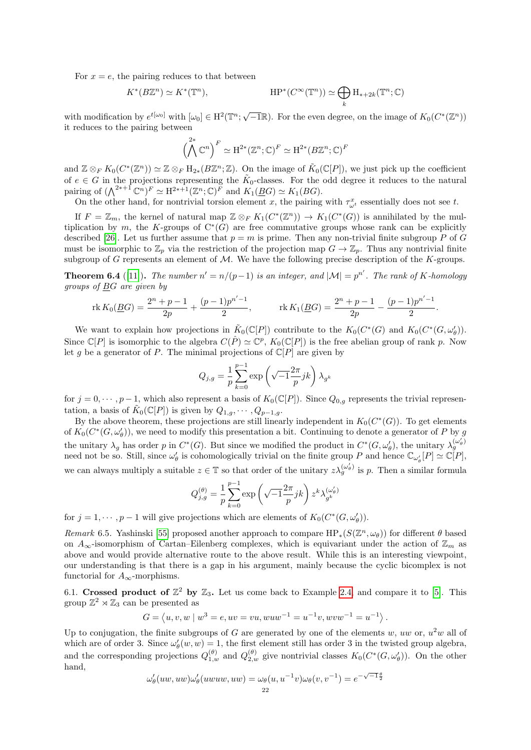For  $x = e$ , the pairing reduces to that between

$$
K^*(B\mathbb{Z}^n) \simeq K^*(\mathbb{T}^n), \qquad \qquad \text{HP}^*(C^\infty(\mathbb{T}^n)) \simeq \bigoplus_k \text{H}_{*+2k}(\mathbb{T}^n;\mathbb{C})
$$

with modification by  $e^{t[\omega_0]}$  with  $[\omega_0] \in H^2(\mathbb{T}^n; \sqrt{-1}\mathbb{R})$ . For the even degree, on the image of  $K_0(C^*(\mathbb{Z}^n))$ it reduces to the pairing between

$$
\left(\bigwedge^{2*} \mathbb{C}^n\right)^F \simeq \mathrm{H}^{2*}(\mathbb{Z}^n; \mathbb{C})^F \simeq \mathrm{H}^{2*}(B\mathbb{Z}^n; \mathbb{C})^F
$$

and  $\mathbb{Z} \otimes_F K_0(C^*(\mathbb{Z}^n)) \simeq \mathbb{Z} \otimes_F H_{2*}(B\mathbb{Z}^n;\mathbb{Z})$ . On the image of  $\tilde{K}_0(\mathbb{C}[P])$ , we just pick up the coefficient of  $e \in G$  in the projections representing the  $\tilde{K}_0$ -classes. For the odd degree it reduces to the natural pairing of  $(\bigwedge^{2^{*+1}} \mathbb{C}^n)^F \simeq \mathrm{H}^{2^{*+1}}(\mathbb{Z}^n;\mathbb{C})^F$  and  $K_1(\underline{B}G) \simeq K_1(BG)$ .

On the other hand, for nontrivial torsion element x, the pairing with  $\tau_{\omega^t}^x$  essentially does not see t.

If  $F = \mathbb{Z}_m$ , the kernel of natural map  $\mathbb{Z} \otimes_F K_1(C^*(\mathbb{Z}^n)) \to K_1(C^*(G))$  is annihilated by the multiplication by m, the K-groups of  $C^*(G)$  are free commutative groups whose rank can be explicitly described [\[26\]](#page-23-8). Let us further assume that  $p = m$  is prime. Then any non-trivial finite subgroup P of G must be isomorphic to  $\mathbb{Z}_p$  via the restriction of the projection map  $G \to \mathbb{Z}_p$ . Thus any nontrivial finite subgroup of G represents an element of  $M$ . We have the following precise description of the K-groups.

**Theorem 6.4** ([\[11\]](#page-23-7)). The number  $n' = n/(p-1)$  is an integer, and  $|\mathcal{M}| = p^{n'}$ . The rank of K-homology groups of BG are given by

$$
\operatorname{rk} K_0(\underline{B}G) = \frac{2^n + p - 1}{2p} + \frac{(p - 1)p^{n'-1}}{2}, \qquad \operatorname{rk} K_1(\underline{B}G) = \frac{2^n + p - 1}{2p} - \frac{(p - 1)p^{n'-1}}{2}.
$$

We want to explain how projections in  $\tilde{K}_0(\mathbb{C}[P])$  contribute to the  $K_0(C^*(G)$  and  $K_0(C^*(G,\omega'_\theta)).$ Since  $\mathbb{C}[P]$  is isomorphic to the algebra  $C(\hat{P}) \simeq \mathbb{C}^p$ ,  $K_0(\mathbb{C}[P])$  is the free abelian group of rank p. Now let g be a generator of P. The minimal projections of  $\mathbb{C}[P]$  are given by

$$
Q_{j,g} = \frac{1}{p} \sum_{k=0}^{p-1} \exp\left(\sqrt{-1} \frac{2\pi}{p} jk\right) \lambda_{g^k}
$$

for  $j = 0, \dots, p-1$ , which also represent a basis of  $K_0(\mathbb{C}[P])$ . Since  $Q_{0,q}$  represents the trivial representation, a basis of  $\tilde{K}_0(\mathbb{C}[P])$  is given by  $Q_{1,g}, \cdots, Q_{p-1,g}$ .

By the above theorem, these projections are still linearly independent in  $K_0(C^*(G))$ . To get elements of  $K_0(C^*(G,\omega'_\theta))$ , we need to modify this presentation a bit. Continuing to denote a generator of P by g the unitary  $\lambda_g$  has order p in  $C^*(G)$ . But since we modified the product in  $C^*(G, \omega'_g)$ , the unitary  $\lambda_g^{(\omega'_\theta)}$ need not be so. Still, since  $\omega'_{\theta}$  is cohomologically trivial on the finite group P and hence  $\mathbb{C}_{\omega'_{\theta}}[P] \simeq \mathbb{C}[P]$ , we can always multiply a suitable  $z \in \mathbb{T}$  so that order of the unitary  $z \lambda_g^{(\omega'_\theta)}$  is p. Then a similar formula

$$
Q_{j,g}^{(\theta)} = \frac{1}{p} \sum_{k=0}^{p-1} \exp\left(\sqrt{-1}\frac{2\pi}{p}jk\right) z^k \lambda_{g^k}^{(\omega'_\theta)}
$$

for  $j = 1, \dots, p-1$  will give projections which are elements of  $K_0(C^*(G, \omega'_\theta))$ .

Remark 6.5. Yashinski [\[55\]](#page-24-14) proposed another approach to compare  $HP_*(S(\mathbb{Z}^n, \omega_\theta))$  for different  $\theta$  based on  $A_{\infty}$ -isomorphism of Cartan–Eilenberg complexes, which is equivariant under the action of  $\mathbb{Z}_m$  as above and would provide alternative route to the above result. While this is an interesting viewpoint, our understanding is that there is a gap in his argument, mainly because the cyclic bicomplex is not functorial for  $A_{\infty}$ -morphisms.

<span id="page-21-0"></span>6.1. Crossed product of  $\mathbb{Z}^2$  by  $\mathbb{Z}_3$ . Let us come back to Example [2.4,](#page-9-3) and compare it to [\[5\]](#page-22-1). This group  $\mathbb{Z}^2 \rtimes \mathbb{Z}_3$  can be presented as

$$
G = \langle u, v, w \mid w^3 = e, uv = vu, wuw^{-1} = u^{-1}v, wvw^{-1} = u^{-1} \rangle.
$$

Up to conjugation, the finite subgroups of G are generated by one of the elements w, uw or,  $u^2w$  all of which are of order 3. Since  $\omega'_{\theta}(w, w) = 1$ , the first element still has order 3 in the twisted group algebra, and the corresponding projections  $Q_{1,w}^{(\theta)}$  and  $Q_{2,w}^{(\theta)}$  give nontrivial classes  $K_0(C^*(G,\omega'_{\theta}))$ . On the other hand, √

$$
\omega'_{\theta}(uw, uw)\omega'_{\theta}(uvwuw, uw) = \omega_{\theta}(u, u^{-1}v)\omega_{\theta}(v, v^{-1}) = e^{-\sqrt{-1}\frac{\theta}{2}}
$$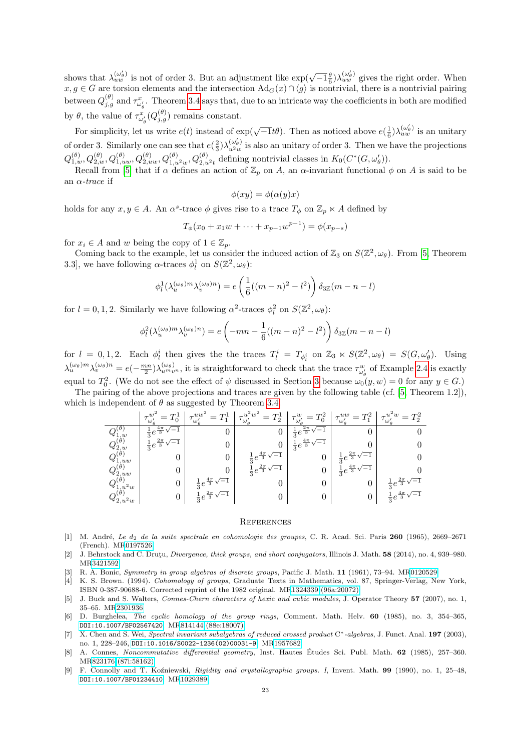shows that  $\lambda_{uw}^{(\omega'_\theta)}$  is not of order 3. But an adjustment like  $\exp(\sqrt{-1}\frac{\theta}{6})\lambda_{uw}^{(\omega'_\theta)}$  gives the right order. When  $x, g \in G$  are torsion elements and the intersection  $\text{Ad}_G(x) \cap \langle g \rangle$  is nontrivial, there is a nontrivial pairing between  $Q_{j,g}^{(\theta)}$  and  $\tau_{\omega'_g}^x$ . Theorem [3.4](#page-11-8) says that, due to an intricate way the coefficients in both are modified by  $\theta$ , the value of  $\tau_{\omega_{\theta}}^{x}(Q_{j,g}^{(\theta)})$  remains constant.

For simplicity, let us write  $e(t)$  instead of  $\exp(\sqrt{-1}t\theta)$ . Then as noticed above  $e(\frac{1}{6})\lambda_{uw}^{(\omega'_{\theta})}$  is an unitary of order 3. Similarly one can see that  $e(\frac{2}{3})\lambda_{u^2w}^{(\omega_\theta)}$  $\frac{d\omega_{\theta}}{u^2w}$  is also an unitary of order 3. Then we have the projections  $Q_{1,w}^{(\theta)}, Q_{2,w}^{(\theta)}, Q_{1,uw}^{(\theta)}, Q_{2,uw}^{(\theta)}, Q_{1,u^2w}^{(\theta)}, Q_{2,u^2t}^{(\theta)}$  defining nontrivial classes in  $K_0(C^*(G,\omega'_\theta)).$ 

Recall from [\[5\]](#page-22-1) that if  $\alpha$  defines an action of  $\mathbb{Z}_p$  on A, an  $\alpha$ -invariant functional  $\phi$  on A is said to be an  $\alpha$ -trace if

$$
\phi(xy) = \phi(\alpha(y)x)
$$

holds for any  $x, y \in A$ . An  $\alpha^s$ -trace  $\phi$  gives rise to a trace  $T_{\phi}$  on  $\mathbb{Z}_p \ltimes A$  defined by

$$
T_{\phi}(x_0 + x_1 w + \dots + x_{p-1} w^{p-1}) = \phi(x_{p-s})
$$

for  $x_i \in A$  and w being the copy of  $1 \in \mathbb{Z}_p$ .

Coming back to the example, let us consider the induced action of  $\mathbb{Z}_3$  on  $S(\mathbb{Z}^2, \omega_\theta)$ . From [\[5,](#page-22-1) Theorem 3.3], we have following  $\alpha$ -traces  $\phi_l^1$  on  $S(\mathbb{Z}^2, \omega_\theta)$ :

$$
\phi_l^1(\lambda_u^{(\omega_\theta)m}\lambda_v^{(\omega_\theta)n}) = e\left(\frac{1}{6}((m-n)^2 - l^2)\right)\delta_{3\mathbb{Z}}(m-n-l)
$$

for  $l = 0, 1, 2$ . Similarly we have following  $\alpha^2$ -traces  $\phi_l^2$  on  $S(\mathbb{Z}^2, \omega_\theta)$ :

$$
\phi_l^2(\lambda_u^{(\omega_\theta)m}\lambda_v^{(\omega_\theta)n}) = e\left(-mn - \frac{1}{6}((m-n)^2 - l^2)\right)\delta_{3\mathbb{Z}}(m-n-l)
$$

for  $l = 0, 1, 2$ . Each  $\phi_l^i$  then gives the the traces  $T_l^i = T_{\phi_l^i}$  on  $\mathbb{Z}_3 \ltimes S(\mathbb{Z}^2, \omega_\theta) = S(G, \omega'_\theta)$ . Using  $\lambda_u^{(\omega_\theta)m}\lambda_v^{(\omega_\theta)n} = e(-\frac{mn}{2})\lambda_{u^mv^n}^{(\omega_\theta)}$ , it is straightforward to check that the trace  $\tau_{\omega_\theta}^w$  of Example [2.4](#page-9-3) is exactly equal to  $T_0^2$ . (We do not see the effect of  $\psi$  discussed in Section [3](#page-10-0) because  $\omega_0(y, w) = 0$  for any  $y \in G$ .)

The pairing of the above projections and traces are given by the following table (cf. [\[5,](#page-22-1) Theorem 1.2]), which is independent of  $\theta$  as suggested by Theorem [3.4.](#page-11-8)

|                           | $T^{\rm h}$                                     | $=T_1^1$<br>$\tau_{\omega_\theta'}^{uw'}$ | $\tau^{u^2/w^2}$<br>$=T_{2}^{1}$<br>$\omega_{\rho}$ | $T^2_0$<br>$\omega_c'$                           | $T^2$<br>$\tau^{uw}_{\omega_\theta'}$<br>$=$ $\overline{ }$ | $\frac{1}{\tau}u^2,w$ .<br>$=T_2^2$<br>$\omega_{\,alpha}'$ |
|---------------------------|-------------------------------------------------|-------------------------------------------|-----------------------------------------------------|--------------------------------------------------|-------------------------------------------------------------|------------------------------------------------------------|
| $\mathcal{A}1,w$          | $\frac{1}{3}e^{\frac{4\pi}{3}\sqrt{4}}$<br>$-1$ |                                           |                                                     | $\frac{1}{2}e^{\frac{2\pi}{3}\sqrt{-1}}$         |                                                             |                                                            |
| $\mathcal{Q}_{2,w}$       | $\frac{1}{3}e^{\frac{2\pi}{3}\sqrt{-1}}$        |                                           |                                                     | $\pm$   $\frac{1}{3}e^{\frac{4\pi}{3}\sqrt{-1}}$ |                                                             |                                                            |
| 1, uw                     |                                                 |                                           | $\frac{1}{3}e^{\frac{4\pi}{3}\sqrt{-1}}$            |                                                  | $1 \frac{1}{3}e^{\frac{2\pi}{3}\sqrt{-1}}$                  |                                                            |
| $Q_{2,uw}^{\vee}$         |                                                 |                                           | $\frac{1}{3}e^{\frac{2\pi}{3}\sqrt{-1}}$            |                                                  | $\cdot + \frac{1}{3}e^{\frac{4\pi}{3}\sqrt{-1}}$            |                                                            |
| $\cdot u^2w$              |                                                 | $\frac{1}{3}e^{\frac{4\pi}{3}\sqrt{-1}}$  |                                                     |                                                  |                                                             | $1 - \frac{1}{3}e^{\frac{2\pi}{3}\sqrt{-1}}$               |
| $^{\boldsymbol{u}}2,u^2w$ |                                                 | $\frac{1}{2}e^{\frac{2\pi}{3}\sqrt{-1}}$  |                                                     |                                                  |                                                             | $1 \frac{1}{3}e^{\frac{4\pi}{3}\sqrt{-1}}$                 |

### **REFERENCES**

- <span id="page-22-4"></span>[1] M. André, Le  $d_2$  de la suite spectrale en cohomologie des groupes, C. R. Acad. Sci. Paris 260 (1965), 2669-2671 (French). M[R0197526](http://www.ams.org/mathscinet-getitem?mr=0197526)
- <span id="page-22-7"></span>[2] J. Behrstock and C. Drutu, *Divergence, thick groups, and short conjugators*, Illinois J. Math. **58** (2014), no. 4, 939–980. M[R3421592](http://www.ams.org/mathscinet-getitem?mr=3421592)
- <span id="page-22-5"></span>[3] R. A. Bonic, Symmetry in group algebras of discrete groups, Pacific J. Math. 11 (1961), 73–94. M[R0120529](http://www.ams.org/mathscinet-getitem?mr=0120529)
- <span id="page-22-3"></span>[4] K. S. Brown. (1994). Cohomology of groups, Graduate Texts in Mathematics, vol. 87, Springer-Verlag, New York, ISBN 0-387-90688-6. Corrected reprint of the 1982 original. M[R1324339 \(96a:20072\)](http://www.ams.org/mathscinet-getitem?mr=1324339)
- <span id="page-22-1"></span>[5] J. Buck and S. Walters, Connes-Chern characters of hexic and cubic modules, J. Operator Theory 57 (2007), no. 1, 35–65. M[R2301936](http://www.ams.org/mathscinet-getitem?mr=2301936)
- <span id="page-22-2"></span>[6] D. Burghelea, The cyclic homology of the group rings, Comment. Math. Helv. 60 (1985), no. 3, 354–365, [DOI:10.1007/BF02567420](http://dx.doi.org/10.1007/BF02567420). M[R814144 \(88e:18007\)](http://www.ams.org/mathscinet-getitem?mr=814144)
- <span id="page-22-6"></span>[7] X. Chen and S. Wei, Spectral invariant subalgebras of reduced crossed product C∗-algebras, J. Funct. Anal. 197 (2003), no. 1, 228–246, [DOI:10.1016/S0022-1236\(02\)00031-9](http://dx.doi.org/10.1016/S0022-1236(02)00031-9). M[R1957682](http://www.ams.org/mathscinet-getitem?mr=1957682)
- <span id="page-22-0"></span>[8] A. Connes, Noncommutative differential geometry, Inst. Hautes Études Sci. Publ. Math. 62 (1985), 257–360. M[R823176 \(87i:58162\)](http://www.ams.org/mathscinet-getitem?mr=823176)
- <span id="page-22-8"></span>[9] F. Connolly and T. Ko´zniewski, Rigidity and crystallographic groups. I, Invent. Math. 99 (1990), no. 1, 25–48, [DOI:10.1007/BF01234410](http://dx.doi.org/10.1007/BF01234410). M[R1029389](http://www.ams.org/mathscinet-getitem?mr=1029389)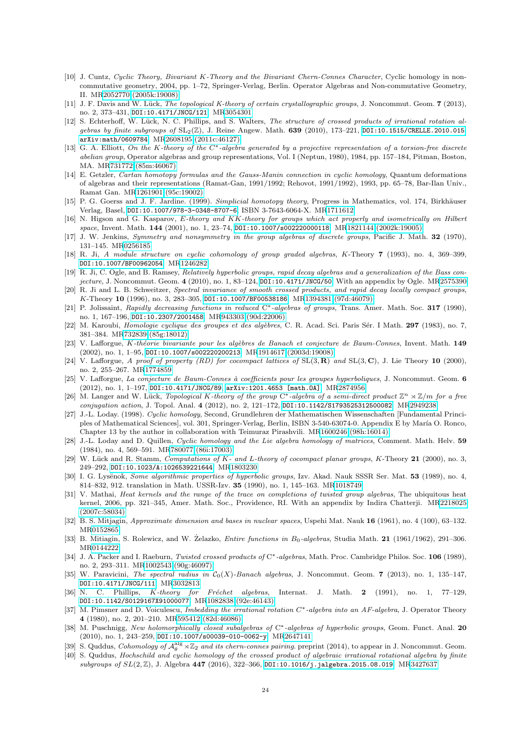- <span id="page-23-10"></span>[10] J. Cuntz, Cyclic Theory, Bivariant K-Theory and the Bivariant Chern-Connes Character, Cyclic homology in noncommutative geometry, 2004, pp. 1–72, Springer-Verlag, Berlin. Operator Algebras and Non-commutative Geometry, II. M[R2052770 \(2005k:19008\)](http://www.ams.org/mathscinet-getitem?mr=2052770)
- <span id="page-23-7"></span>[11] J. F. Davis and W. Lück, The topological K-theory of certain crystallographic groups, J. Noncommut. Geom. 7 (2013), no. 2, 373–431, [DOI:10.4171/JNCG/121](http://dx.doi.org/10.4171/JNCG/121). M[R3054301](http://www.ams.org/mathscinet-getitem?mr=3054301)
- <span id="page-23-6"></span>[12] S. Echterhoff, W. Lück, N. C. Phillips, and S. Walters, The structure of crossed products of irrational rotation algebras by finite subgroups of  $SL_2(\mathbb{Z})$ , J. Reine Angew. Math. 639 (2010), 173-221, [DOI:10.1515/CRELLE.2010.015](http://dx.doi.org/10.1515/CRELLE.2010.015), [arXiv:math/0609784](http://arxiv.org/abs/math/0609784). M[R2608195 \(2011c:46127\)](http://www.ams.org/mathscinet-getitem?mr=2608195)
- <span id="page-23-0"></span>[13] G. A. Elliott, On the K-theory of the C∗-algebra generated by a projective representation of a torsion-free discrete abelian group, Operator algebras and group representations, Vol. I (Neptun, 1980), 1984, pp. 157–184, Pitman, Boston, MA. M[R731772 \(85m:46067\)](http://www.ams.org/mathscinet-getitem?mr=731772)
- <span id="page-23-5"></span>[14] E. Getzler, Cartan homotopy formulas and the Gauss-Manin connection in cyclic homology, Quantum deformations of algebras and their representations (Ramat-Gan, 1991/1992; Rehovot, 1991/1992), 1993, pp. 65–78, Bar-Ilan Univ., Ramat Gan. M[R1261901 \(95c:19002\)](http://www.ams.org/mathscinet-getitem?mr=1261901)
- <span id="page-23-15"></span>[15] P. G. Goerss and J. F. Jardine. (1999). Simplicial homotopy theory, Progress in Mathematics, vol. 174, Birkhäuser Verlag, Basel, [DOI:10.1007/978-3-0348-8707-6](http://dx.doi.org/10.1007/978-3-0348-8707-6), ISBN 3-7643-6064-X. M[R1711612](http://www.ams.org/mathscinet-getitem?mr=1711612)
- <span id="page-23-19"></span>[16] N. Higson and G. Kasparov, E-theory and KK-theory for groups which act properly and isometrically on Hilbert space, Invent. Math. 144 (2001), no. 1, 23-74, D0I:10.1007/s002220000118. M[R1821144 \(2002k:19005\)](http://www.ams.org/mathscinet-getitem?mr=1821144)
- <span id="page-23-22"></span>[17] J. W. Jenkins, Symmetry and nonsymmetry in the group algebras of discrete groups, Pacific J. Math. 32 (1970), 131–145. M[R0256185](http://www.ams.org/mathscinet-getitem?mr=0256185)
- <span id="page-23-14"></span>[18] R. Ji, A module structure on cyclic cohomology of group graded algebras, K-Theory 7 (1993), no. 4, 369–399, [DOI:10.1007/BF00962054](http://dx.doi.org/10.1007/BF00962054). M[R1246282](http://www.ams.org/mathscinet-getitem?mr=1246282)
- <span id="page-23-30"></span>[19] R. Ji, C. Ogle, and B. Ramsey, Relatively hyperbolic groups, rapid decay algebras and a generalization of the Bass con-jecture, J. Noncommut. Geom. 4 (2010), no. 1, 83-124, D0I:10.4171/JNCG/50. With an appendix by Ogle. M[R2575390](http://www.ams.org/mathscinet-getitem?mr=2575390)
- <span id="page-23-23"></span>[20] R. Ji and L. B. Schweitzer, Spectral invariance of smooth crossed products, and rapid decay locally compact groups, K-Theory 10 (1996), no. 3, 283–305, [DOI:10.1007/BF00538186](http://dx.doi.org/10.1007/BF00538186). M[R1394381 \(97d:46079\)](http://www.ams.org/mathscinet-getitem?mr=1394381)
- <span id="page-23-24"></span>[21] P. Jolissaint, Rapidly decreasing functions in reduced C<sup>∗</sup>-algebras of groups, Trans. Amer. Math. Soc. 317 (1990), no. 1, 167–196, [DOI:10.2307/2001458](http://dx.doi.org/10.2307/2001458). M[R943303 \(90d:22006\)](http://www.ams.org/mathscinet-getitem?mr=943303)
- <span id="page-23-12"></span>[22] M. Karoubi, Homologie cyclique des groupes et des algèbres, C. R. Acad. Sci. Paris Sér. I Math. 297 (1983), no. 7, 381–384. M[R732839 \(85g:18012\)](http://www.ams.org/mathscinet-getitem?mr=732839)
- <span id="page-23-18"></span>[23] V. Lafforgue, K-théorie bivariante pour les algèbres de Banach et conjecture de Baum-Connes, Invent. Math. 149 (2002), no. 1, 1–95, [DOI:10.1007/s002220200213](http://dx.doi.org/10.1007/s002220200213). M[R1914617 \(2003d:19008\)](http://www.ams.org/mathscinet-getitem?mr=1914617)
- <span id="page-23-26"></span>[24] V. Lafforgue, A proof of property (RD) for cocompact lattices of  $SL(3, \mathbf{R})$  and  $SL(3, \mathbf{C})$ , J. Lie Theory 10 (2000), no. 2, 255–267. M[R1774859](http://www.ams.org/mathscinet-getitem?mr=1774859)
- <span id="page-23-20"></span>[25] V. Lafforgue, La conjecture de Baum-Connes à coefficients pour les groupes hyperboliques, J. Noncommut. Geom. 6 (2012), no. 1, 1–197, [DOI:10.4171/JNCG/89](http://dx.doi.org/10.4171/JNCG/89), [arXiv:1201.4653 \[math.OA\]](http://arxiv.org/abs/1201.4653). M[R2874956](http://www.ams.org/mathscinet-getitem?mr=2874956)
- <span id="page-23-8"></span>[26] M. Langer and W. Lück, Topological K-theory of the group C<sup>∗</sup>-algebra of a semi-direct product  $\mathbb{Z}^n \rtimes \mathbb{Z}/m$  for a free conjugation action, J. Topol. Anal. 4 (2012), no. 2, 121–172, [DOI:10.1142/S1793525312500082](http://dx.doi.org/10.1142/S1793525312500082). M[R2949238](http://www.ams.org/mathscinet-getitem?mr=2949238)
- <span id="page-23-11"></span>[27] J.-L. Loday. (1998). Cyclic homology, Second, Grundlehren der Mathematischen Wissenschaften [Fundamental Principles of Mathematical Sciences], vol. 301, Springer-Verlag, Berlin, ISBN 3-540-63074-0. Appendix E by María O. Ronco, Chapter 13 by the author in collaboration with Teimuraz Pirashvili. M[R1600246 \(98h:16014\)](http://www.ams.org/mathscinet-getitem?mr=1600246)
- <span id="page-23-13"></span>[28] J.-L. Loday and D. Quillen, Cyclic homology and the Lie algebra homology of matrices, Comment. Math. Helv. 59 (1984), no. 4, 569–591. M[R780077 \(86i:17003\)](http://www.ams.org/mathscinet-getitem?mr=780077)
- <span id="page-23-9"></span>[29] W. Lück and R. Stamm, Computations of K- and L-theory of cocompact planar groups, K-Theory 21 (2000), no. 3, 249–292, [DOI:10.1023/A:1026539221644](http://dx.doi.org/10.1023/A:1026539221644). M[R1803230](http://www.ams.org/mathscinet-getitem?mr=1803230)
- <span id="page-23-29"></span>[30] I. G. Lysënok, Some algorithmic properties of hyperbolic groups, Izv. Akad. Nauk SSSR Ser. Mat. 53 (1989), no. 4, 814–832, 912. translation in Math. USSR-Izv. 35 (1990), no. 1, 145–163. M[R1018749](http://www.ams.org/mathscinet-getitem?mr=1018749)
- <span id="page-23-4"></span>[31] V. Mathai, Heat kernels and the range of the trace on completions of twisted group algebras, The ubiquitous heat kernel, 2006, pp. 321–345, Amer. Math. Soc., Providence, RI. With an appendix by Indira Chatterji. M[R2218025](http://www.ams.org/mathscinet-getitem?mr=2218025) [\(2007c:58034\)](http://www.ams.org/mathscinet-getitem?mr=2218025)
- <span id="page-23-17"></span>[32] B. S. Mitjagin, Approximate dimension and bases in nuclear spaces, Uspehi Mat. Nauk 16 (1961), no. 4 (100), 63–132. M[R0152865](http://www.ams.org/mathscinet-getitem?mr=0152865)
- <span id="page-23-27"></span>[33] B. Mitiagin, S. Rolewicz, and W. Zelazko, *Entire functions in B*<sub>0</sub>-algebras, Studia Math. 21 (1961/1962), 291-306. M[R0144222](http://www.ams.org/mathscinet-getitem?mr=0144222)
- <span id="page-23-21"></span>[34] J. A. Packer and I. Raeburn, Twisted crossed products of C∗-algebras, Math. Proc. Cambridge Philos. Soc. 106 (1989), no. 2, 293–311. M[R1002543 \(90g:46097\)](http://www.ams.org/mathscinet-getitem?mr=1002543)
- <span id="page-23-28"></span>[35] W. Paravicini, The spectral radius in  $C_0(X)$ -Banach algebras, J. Noncommut. Geom. 7 (2013), no. 1, 135–147, [DOI:10.4171/JNCG/111](http://dx.doi.org/10.4171/JNCG/111). M[R3032813](http://www.ams.org/mathscinet-getitem?mr=3032813)
- <span id="page-23-16"></span>[36] N. C. Phillips, K-theory for Fréchet algebras, Internat. J. Math. 2 (1991), no. 1, 77–129, [DOI:10.1142/S0129167X91000077](http://dx.doi.org/10.1142/S0129167X91000077). M[R1082838 \(92e:46143\)](http://www.ams.org/mathscinet-getitem?mr=1082838)
- <span id="page-23-1"></span>[37] M. Pimsner and D. Voiculescu, Imbedding the irrational rotation C∗-algebra into an AF-algebra, J. Operator Theory 4 (1980), no. 2, 201–210. M[R595412 \(82d:46086\)](http://www.ams.org/mathscinet-getitem?mr=595412)
- <span id="page-23-25"></span>[38] M. Puschnigg, New holomorphically closed subalgebras of C<sup>∗</sup>-algebras of hyperbolic groups, Geom. Funct. Anal. 20 (2010), no. 1, 243–259, [DOI:10.1007/s00039-010-0062-y](http://dx.doi.org/10.1007/s00039-010-0062-y). M[R2647141](http://www.ams.org/mathscinet-getitem?mr=2647141)
- <span id="page-23-2"></span>[39] S. Quddus, Cohomology of  $A_\theta^{\text{alg}} \rtimes \mathbb{Z}_2$  and its chern-connes pairing. preprint (2014), to appear in J. Noncommut. Geom.
- <span id="page-23-3"></span>[40] S. Quddus, Hochschild and cyclic homology of the crossed product of algebraic irrational rotational algebra by finite subgroups of  $SL(2, \mathbb{Z})$ , J. Algebra 447 (2016), 322-366, [DOI:10.1016/j.jalgebra.2015.08.019](http://dx.doi.org/10.1016/j.jalgebra.2015.08.019). M[R3427637](http://www.ams.org/mathscinet-getitem?mr=3427637)